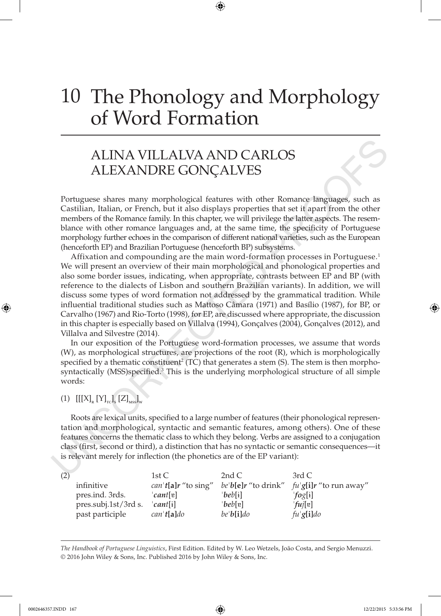# 10 The Phonology and Morphology of Word Formation

## Alina Villalva and Carlos Alexandre Gonçalves

Portuguese shares many morphological features with other Romance languages, such as Castilian, Italian, or French, but it also displays properties that set it apart from the other members of the Romance family. In this chapter, we will privilege the latter aspects. The resemblance with other romance languages and, at the same time, the specificity of Portuguese morphology further echoes in the comparison of different national varieties, such as the European (henceforth EP) and Brazilian Portuguese (henceforth BP) subsystems.

Affixation and compounding are the main word-formation processes in Portuguese.<sup>1</sup> We will present an overview of their main morphological and phonological properties and also some border issues, indicating, when appropriate, contrasts between EP and BP (with reference to the dialects of Lisbon and southern Brazilian variants). In addition, we will discuss some types of word formation not addressed by the grammatical tradition. While influential traditional studies such as Mattoso Câmara (1971) and Basílio (1987), for BP, or Carvalho (1967) and Rio‐Torto (1998), for EP, are discussed where appropriate, the discussion in this chapter is especially based on Villalva (1994), Gonçalves (2004), Gonçalves (2012), and Villalva and Silvestre (2014). ALINA VIILLALVA AND CARILOS<br>
MEXANDRE GONÇALVES<br>
Portuguese shares many morphological features with other Romance languages, such as<br>
Certain, Italian, or French, but it also displays properties that set it apart from the

In our exposition of the Portuguese word-formation processes, we assume that words (W), as morphological structures, are projections of the root (R), which is morphologically specified by a thematic constituent<sup>2</sup> (TC) that generates a stem (S). The stem is then morphosyntactically (MSS)specified.<sup>3</sup> This is the underlying morphological structure of all simple words:

#### (1)  $[[[X]_{R} [Y]_{TC}]_{S} [Z]_{MSS}]_{W}$

Roots are lexical units, specified to a large number of features (their phonological representation and morphological, syntactic and semantic features, among others). One of these features concerns the thematic class to which they belong. Verbs are assigned to a conjugation class (first, second or third), a distinction that has no syntactic or semantic consequences—it is relevant merely for inflection (the phonetics are of the EP variant):

| (2) |                      | 1st C                                | 2nd $C$                           | 3rd $C$                              |
|-----|----------------------|--------------------------------------|-----------------------------------|--------------------------------------|
|     | infinitive           | can't[a]r "to sing"                  | <i>be</i> <b>b[e]r</b> "to drink" | <i>fu</i> <b>g[i]r</b> "to run away" |
|     | pres.ind. 3rds.      | $\mathcal{C}ant[\mathfrak{v}]$       | beb[i]                            | fog[i]                               |
|     | pres.subj.1st/3rd s. | $\lceil$ cant $\lceil$ il            | beb[e]                            | fuj[v]                               |
|     | past participle      | $can$ <sup><math>t[a]</math>do</sup> | be'b[i]do                         | $fu$ 'g[i]do                         |

*The Handbook of Portuguese Linguistics*, First Edition. Edited by W. Leo Wetzels, João Costa, and Sergio Menuzzi. © 2016 John Wiley & Sons, Inc. Published 2016 by John Wiley & Sons, Inc.

⊕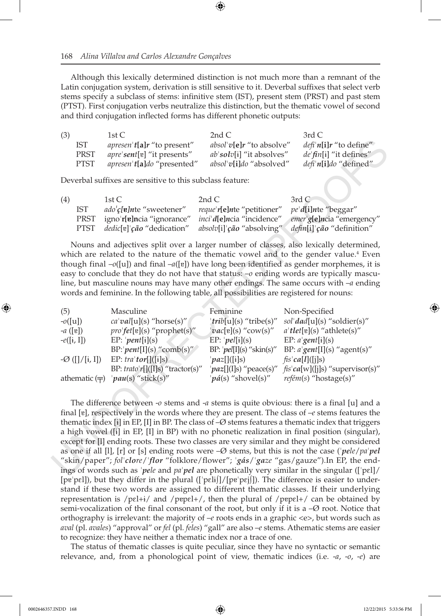Although this lexically determined distinction is not much more than a remnant of the Latin conjugation system, derivation is still sensitive to it. Deverbal suffixes that select verb stems specify a subclass of stems: infinitive stem (IST), present stem (PRST) and past stem (PTST). First conjugation verbs neutralize this distinction, but the thematic vowel of second and third conjugation inflected forms has different phonetic outputs:

⊕

| (3) |            | 1st C                                       | 2nd $C$                                   | 3rd $C$                   |
|-----|------------|---------------------------------------------|-------------------------------------------|---------------------------|
|     | <b>IST</b> | <i>apresen</i> $t[a]$ <i>r</i> "to present" | <i>absol</i> $v[e]$ <i>r</i> "to absolve" | $defi'n[i]r''$ to define" |
|     | PRST       | <i>apre</i> sent[v] "it presents"           | $ab$ 'solv[i] "it absolves"               | $de'$ fin[i] "it defines" |
|     | PTST       | <i>apresen</i> 't[a]do "presented"          | <i>absol</i> v[i]do "absolved"            | defi'n[i]do "defined"     |

| (4) |     | 1st C                                                                                                                                                                                                                                                                                                     | 2nd C | 3rd $C$ |
|-----|-----|-----------------------------------------------------------------------------------------------------------------------------------------------------------------------------------------------------------------------------------------------------------------------------------------------------------|-------|---------|
|     | IST | $ado'c[e]$ nte "sweetener" reque'r[ <b>e</b> ]nte "petitioner" pe'd[i]nte "beggar"                                                                                                                                                                                                                        |       |         |
|     |     | PRST igno'r[ve]ncia "ignorance" inci'd[e]ncia "incidence" emer'g[e]ncia "emergency"                                                                                                                                                                                                                       |       |         |
|     |     | PTST dedic[v] $\left  \right  \left  \right  \left  \right  \left  \right  \left  \right  \left  \right  \left  \right  \left  \right  \right $ definition dedication dedication depends of the definition definition definition definition definition definition definition definition definition defini |       |         |

| $\sim$<br><b>IST</b><br><b>PRST</b><br><b>PTST</b>                                  | apresen't[a]r "to present"<br>apre'sent[v] "it presents"<br>apresen't[a]do "presented"                                                                                                                                           | absol'v[e]r "to absolve"<br>$ab$ 'solv[i] "it absolves"<br>absol'v[i]do "absolved"                                                                                                                     | defi'n[i]r "to define"<br>de'fin[i] "it defines"<br>defi'n[i]do "defined"                                                                                                                                                                                                                                                                                                                                                                                                                                                                                                                                                                                                                                                                                                                                                       |
|-------------------------------------------------------------------------------------|----------------------------------------------------------------------------------------------------------------------------------------------------------------------------------------------------------------------------------|--------------------------------------------------------------------------------------------------------------------------------------------------------------------------------------------------------|---------------------------------------------------------------------------------------------------------------------------------------------------------------------------------------------------------------------------------------------------------------------------------------------------------------------------------------------------------------------------------------------------------------------------------------------------------------------------------------------------------------------------------------------------------------------------------------------------------------------------------------------------------------------------------------------------------------------------------------------------------------------------------------------------------------------------------|
|                                                                                     | Deverbal suffixes are sensitive to this subclass feature:                                                                                                                                                                        |                                                                                                                                                                                                        |                                                                                                                                                                                                                                                                                                                                                                                                                                                                                                                                                                                                                                                                                                                                                                                                                                 |
| (4)<br><b>IST</b><br><b>PRST</b><br><b>PTST</b>                                     | 1st C<br>ado'c[ve]nte "sweetener"<br>igno'r[v]ncia "ignorance"<br>dedic[v]'cão "dedication"                                                                                                                                      | 2nd C<br>reque'r[e]nte "petitioner"<br>inci'd[e]ncia "incidence"<br>absolv[i]'cao "absolving"                                                                                                          | 3rd C<br>pe'd[i]nte "beggar"<br>emer'g[e]ncia "emergency"<br>defin[i]'cão "definition"                                                                                                                                                                                                                                                                                                                                                                                                                                                                                                                                                                                                                                                                                                                                          |
|                                                                                     | words and feminine. In the following table, all possibilities are registered for nouns:                                                                                                                                          |                                                                                                                                                                                                        | Nouns and adjectives split over a larger number of classes, also lexically determined,<br>which are related to the nature of the thematic vowel and to the gender value. <sup>4</sup> Even<br>though final $-o([u])$ and final $-a([v])$ have long been identified as gender morphemes, it is<br>easy to conclude that they do not have that status: $-o$ ending words are typically mascu-<br>line, but masculine nouns may have many other endings. The same occurs with $-a$ ending                                                                                                                                                                                                                                                                                                                                          |
| (5)<br>$-o([u])$<br>$-a([v])$<br>$-e([i, I])$<br>$-O([]/[i, 1])$<br>athematic $(=)$ | Masculine<br>$ca$ 'val[u](s) "horse(s)"<br>pro'fet[v](s) "prophet(s)"<br>EP: $\text{pent}[i](s)$<br>$BP: \text{pent}[I](s) \text{ "comb}(s)$ "<br>EP: tra $tor[[(i]s)]$<br>BP: trato'r[]([I]s) "tractor(s)"<br>pau(s) "stick(s)" | Feminine<br>'trib[u](s) "tribe(s)"<br>$\overline{vac}[v](s)$ "cow(s)"<br>EP: $\text{pel}[i](s)$<br>BP: $pel[I](s)$ "skin(s)"<br>$\mathit{paz}[[[i]s]]$<br>'paz[](I]s) "peace(s)"<br>'pá(s) "shovel(s)" | Non-Specified<br>sol'dad[u](s) "soldier(s)"<br>$a' tlet[v](s)$ "athlete(s)"<br>EP: $a'gent[i](s)$<br>BP: $a$ 'gent[I](s) "agent(s)"<br>$f$ is' ca[l]([j]s)<br><i>fis'ca</i> [w]([j]s) "supervisor(s)"<br>refém(s) "hostage(s)"                                                                                                                                                                                                                                                                                                                                                                                                                                                                                                                                                                                                  |
|                                                                                     |                                                                                                                                                                                                                                  |                                                                                                                                                                                                        | The difference between -o stems and -a stems is quite obvious: there is a final [u] and a<br>final [v], respectively in the words where they are present. The class of $-e$ stems features the<br>thematic index [i] in EP, [I] in BP. The class of $-\varnothing$ stems features a thematic index that triggers<br>a high vowel ([i] in EP, [I] in BP) with no phonetic realization in final position (singular),<br>except for [1] ending roots. These two classes are very similar and they might be considered<br>as one if all [l], [r] or [s] ending roots were $-\varnothing$ stems, but this is not the case ('pele/pa'pel<br>"skin/paper"; fol'clore/'flor "folklore/flower"; 'gás/'gaze "gas/gauze").In EP, the end-<br>ings of words such as 'pele and pa'pel are phonetically very similar in the singular (['pɛl]/ |

The difference between -*o* stems and -*a* stems is quite obvious: there is a final [u] and a final [ɐ], respectively in the words where they are present. The class of –*e* stems features the thematic index  $[i]$  in EP,  $[i]$  in BP. The class of  $-\emptyset$  stems features a thematic index that triggers a high vowel ([ɨ] in EP, [I] in BP) with no phonetic realization in final position (singular), except for [l] ending roots. These two classes are very similar and they might be considered as one if all [1], [r] or [s] ending roots were  $-\varnothing$  stems, but this is not the case ('*pele*/*pa*'*pel* "skin/paper"; *fol*ˈ*clore*/ˈ*flor* "folklore/flower"; ˈ*gás*/ˈ*gaze* "gas/gauze").In EP, the endings of words such as ˈ*pele* and *pa*ˈ*pel* are phonetically very similar in the singular ([ˈpɛl]/ [pɐˈpɛl]), but they differ in the plural ([ˈpɛlɨ∫]/[pɐˈpɛj∫]). The difference is easier to understand if these two words are assigned to different thematic classes. If their underlying representation is /pɛl+i/ and /pɐpɛl+/, then the plural of /pɐpɛl+/ can be obtained by semi-vocalization of the final consonant of the root, but only if it is a  $-\varnothing$  root. Notice that orthography is irrelevant: the majority of  $-e$  roots ends in a graphic  $\langle e \rangle$ , but words such as *aval* (pl. *avales*) "approval" or *fel* (pl. *feles*) "gall" are also –*e* stems. Athematic stems are easier to recognize: they have neither a thematic index nor a trace of one.

The status of thematic classes is quite peculiar, since they have no syntactic or semantic relevance, and, from a phonological point of view, thematic indices (i.e. ‐*a*, ‐*o*, ‐*e*) are

⊕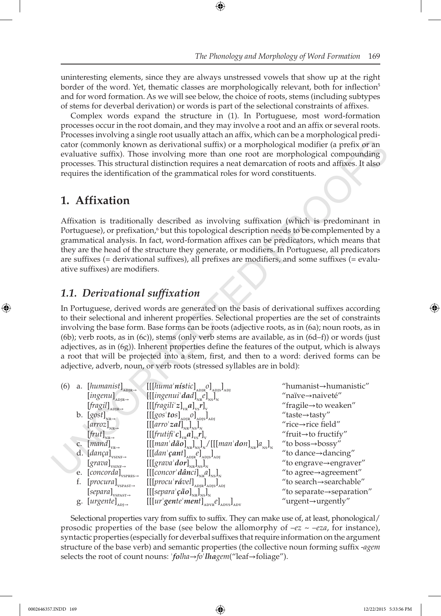uninteresting elements, since they are always unstressed vowels that show up at the right border of the word. Yet, thematic classes are morphologically relevant, both for inflection<sup>5</sup> and for word formation. As we will see below, the choice of roots, stems (including subtypes of stems for deverbal derivation) or words is part of the selectional constraints of affixes.

⊕

Complex words expand the structure in (1). In Portuguese, most word‐formation processes occur in the root domain, and they may involve a root and an affix or several roots. Processes involving a single root usually attach an affix, which can be a morphological predicator (commonly known as derivational suffix) or a morphological modifier (a prefix or an evaluative suffix). Those involving more than one root are morphological compounding processes. This structural distinction requires a neat demarcation of roots and affixes. It also requires the identification of the grammatical roles for word constituents.

## **1. Affixation**

#### *1.1. Derivational suffixation*

| cator (commonly known as derivational suffix) or a morphological modifier (a prefix or an<br>evaluative suffix). Those involving more than one root are morphological compounding<br>processes. This structural distinction requires a neat demarcation of roots and affixes. It also<br>requires the identification of the grammatical roles for word constituents.                                                                                                                                                                                                                                                                                                                           |                                                                                                                                                                                                                                                                                                                                                                                                                                                                                                                                                                                                                                                                                                                                                                                                                                                                                                                                                                                                                                                                                                                                                                                                                                                                                                                                            |                                                                                                                                                                                                                                                                                                                                                     |  |  |  |
|------------------------------------------------------------------------------------------------------------------------------------------------------------------------------------------------------------------------------------------------------------------------------------------------------------------------------------------------------------------------------------------------------------------------------------------------------------------------------------------------------------------------------------------------------------------------------------------------------------------------------------------------------------------------------------------------|--------------------------------------------------------------------------------------------------------------------------------------------------------------------------------------------------------------------------------------------------------------------------------------------------------------------------------------------------------------------------------------------------------------------------------------------------------------------------------------------------------------------------------------------------------------------------------------------------------------------------------------------------------------------------------------------------------------------------------------------------------------------------------------------------------------------------------------------------------------------------------------------------------------------------------------------------------------------------------------------------------------------------------------------------------------------------------------------------------------------------------------------------------------------------------------------------------------------------------------------------------------------------------------------------------------------------------------------|-----------------------------------------------------------------------------------------------------------------------------------------------------------------------------------------------------------------------------------------------------------------------------------------------------------------------------------------------------|--|--|--|
| 1. Affixation                                                                                                                                                                                                                                                                                                                                                                                                                                                                                                                                                                                                                                                                                  |                                                                                                                                                                                                                                                                                                                                                                                                                                                                                                                                                                                                                                                                                                                                                                                                                                                                                                                                                                                                                                                                                                                                                                                                                                                                                                                                            |                                                                                                                                                                                                                                                                                                                                                     |  |  |  |
| Affixation is traditionally described as involving suffixation (which is predominant in<br>Portuguese), or prefixation, <sup>6</sup> but this topological description needs to be complemented by a<br>grammatical analysis. In fact, word-formation affixes can be predicators, which means that<br>they are the head of the structure they generate, or modifiers. In Portuguese, all predicators<br>are suffixes (= derivational suffixes), all prefixes are modifiers, and some suffixes (= evalu-<br>ative suffixes) are modifiers.                                                                                                                                                       |                                                                                                                                                                                                                                                                                                                                                                                                                                                                                                                                                                                                                                                                                                                                                                                                                                                                                                                                                                                                                                                                                                                                                                                                                                                                                                                                            |                                                                                                                                                                                                                                                                                                                                                     |  |  |  |
|                                                                                                                                                                                                                                                                                                                                                                                                                                                                                                                                                                                                                                                                                                | 1.1. Derivational suffixation                                                                                                                                                                                                                                                                                                                                                                                                                                                                                                                                                                                                                                                                                                                                                                                                                                                                                                                                                                                                                                                                                                                                                                                                                                                                                                              |                                                                                                                                                                                                                                                                                                                                                     |  |  |  |
| In Portuguese, derived words are generated on the basis of derivational suffixes according<br>to their selectional and inherent properties. Selectional properties are the set of constraints<br>involving the base form. Base forms can be roots (adjective roots, as in (6a); noun roots, as in<br>$(6b)$ ; verb roots, as in $(6c)$ , stems (only verb stems are available, as in $(6d-f)$ ) or words (just<br>adjectives, as in $(6g)$ ). Inherent properties define the features of the output, which is always<br>a root that will be projected into a stem, first, and then to a word: derived forms can be<br>adjective, adverb, noun, or verb roots (stressed syllables are in bold): |                                                                                                                                                                                                                                                                                                                                                                                                                                                                                                                                                                                                                                                                                                                                                                                                                                                                                                                                                                                                                                                                                                                                                                                                                                                                                                                                            |                                                                                                                                                                                                                                                                                                                                                     |  |  |  |
| (6) a. $[humanist]_{\text{ADJR}\rightarrow}$<br>$\left[ingenu\right]_{\text{ADJR}\rightarrow}$<br>$[fragil]$ <sub>ADIR→</sub><br>b. $[gost]_{N_{\rm R}}$<br>$\left[ \arccos_{\mathrm{NR}\rightarrow }\right]$<br>$\left[\mathit{frut}\right]_{{}_{\rm NR}\rightarrow}$<br>c. $[mand]_{vR\rightarrow}$<br>d. $\left[ \text{d}an\varphi a\right] _{\text{vsinr}\rightarrow}$<br>$\begin{bmatrix} \text{grad} \\ \text{e.} \end{bmatrix}_{\text{vsnne}}$<br>e. $\begin{bmatrix} \text{concated} \\ \text{cond} \end{bmatrix}_{\text{vsrnes}}$<br>f.<br>$[procura]_{vspasr\rightarrow}$<br>$[separa]_{\mathrm{v_{\mathrm{SPAST}\rightarrow}}}$<br>g. $\left[ \text{urgent}e \right]_{\text{adj}}$  | $\begin{array}{l} [[[human' nistic]_{_{\rm{ADJR}}}o]_{_{\rm{ADJ}}} ]_{_{\rm{ADJ}}} \\ [[[ingenui' ]]_{\rm{Mg}}]_{_{\rm{Ng}}}e]_{_{\rm{NS}}}]_{_{\rm{N}}} \end{array}$<br>$[[[fragili'z]_{\text{vs}} a]_{\text{vs}} r]_{\text{v}}$<br>$\begin{array}{l} [[[gos'tos]_{_{\rm ADJR}}O]_{_{\rm ADJS}}]_{_{\rm ADJ}} \\ [[[arrow'zal]_{_{\rm NR}}]_{_{\rm NS}}]_{_{\rm N}} \end{array}$<br>$\left[\left[\left[frutif\right]c\right]_{\mathbf{v}\mathbf{r}}a\right]_{\mathbf{v}\mathbf{s}}r\right]_{\mathbf{v}}$<br>$\left[\left[\left[\left(\text{man}^\dagger d\tilde{a}o\right]_{\text{\tiny{NR}}}\right]_{\text{\tiny{NS}}}\right]_{\text{\tiny{N}}}/\left[\left[\left[\text{man}^\dagger don\right]_{\text{\tiny{NR}}}\right]a_{\text{\tiny{NS}}}\right]_{\text{\tiny{N}}}$<br>$\left[\left[\left[dan'\varrhoant\right]_{\text{ADJR}}e\right]_{\text{ADJS}}\right]_{\text{ADJ}}$<br>$\begin{array}{l} \hline \text{[[grava' dor]]_{\text{NS}}]}_{\text{N}} \\ \hline \text{[[[concor' dânci]]_{\text{NS}}]}_{\text{N}} \\ \hline \end{array}$<br>$\left[\left[\left[procu r\acute{a}vel\right]_{\text{ADJR}}\right]_{\text{ADJS}}\right]_{\text{ADJ}}$<br>$[[[separa'\zeta \tilde{a}o]_{\text{NS}}]_{\text{NS}}]_{\text{N}}$<br>$\left[\left[\left[ur'\text{gent}e'\text{ment}\right]_{\text{ADV}}e\right]_{\text{ADV}}\right]_{\text{ADV}}$ | "humanist $\rightarrow$ humanistic"<br>"naïve→naiveté"<br>"fragile→to weaken"<br>$"taste \rightarrow$ tasty"<br>"rice->rice field"<br>"fruit-to fructify"<br>"to boss->bossy"<br>"to dance->dancing"<br>"to engrave->engraver"<br>"to agree-agreement"<br>"to search->searchable"<br>"to separate-separation"<br>$"$ urgent $\rightarrow$ urgently" |  |  |  |

Selectional properties vary from suffix to suffix. They can make use of, at least, phonological/ prosodic properties of the base (see below the allomorphy of  $-ez \sim -eza$ , for instance), syntactic properties (especially for deverbal suffixes that require information on the argument structure of the base verb) and semantic properties (the collective noun forming suffix ‐*agem* selects the root of count nouns: ˈ*folha*→*fo*ˈ*lhagem*("leaf→foliage").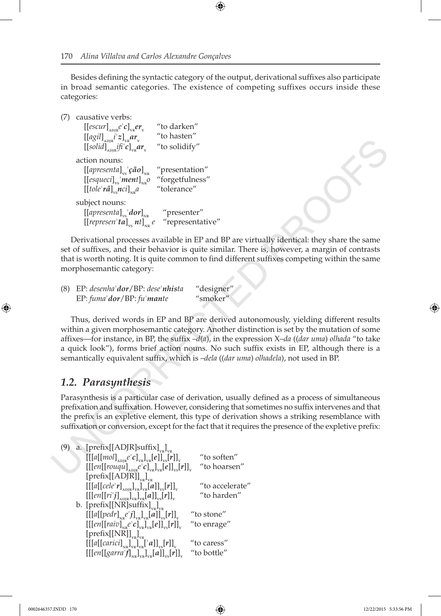Besides defining the syntactic category of the output, derivational suffixes also participate in broad semantic categories. The existence of competing suffixes occurs inside these categories:

 $\bigoplus$ 

(7) causative verbs:

| $[[\text{escur}]_{_{\text{ADIR}}}e^{\dagger}c]_{_{\text{VR}}}er_{_{\text{V}}}$<br>$[[agil]_{\text{app}}i^{\dagger}z]_{\text{ve}}ar_{\text{v}}$<br>$[[solid]_{\text{app}} if i'c]_{\text{ve}} ar$                                                                         | "to darken"<br>"to hasten"<br>"to solidify"      |
|--------------------------------------------------------------------------------------------------------------------------------------------------------------------------------------------------------------------------------------------------------------------------|--------------------------------------------------|
| action nouns:<br>$[[\text{appresenta}]_{\text{vs}}^{\dagger} \mathbf{\tilde{c}} \tilde{\mathbf{\alpha}} \mathbf{o}]_{\text{vs}}^{\dagger}$<br>$[[\textit{esqueci}]_{\text{vs}}$ 'ment $]_{\text{vs}}$ o<br>$[[\text{tole'}r\hat{a}]_{\text{vs}}\text{nc}i]_{\text{vs}}a$ | "presentation"<br>"forgetfulness"<br>"tolerance" |
| subject nouns:<br>$\left[\left[\text{apresenta}\right]_{\text{vs}}\text{dor}\right]_{\text{vs}}$<br>[[represen'ta] <sub>vs</sub> $nt$ ] <sub>NR</sub> e                                                                                                                  | "presenter"<br>"representative"                  |

Derivational processes available in EP and BP are virtually identical: they share the same set of suffixes, and their behavior is quite similar. There is, however, a margin of contrasts that is worth noting. It is quite common to find different suffixes competing within the same morphosemantic category:

(8) EP: *desenha*ˈ*dor*/BP: *dese*ˈ*nhista* "designer" EP: *fuma*<sup>*dor*</sup>/BP: *fu*<sup>*mante*</sup>

Thus, derived words in EP and BP are derived autonomously, yielding different results within a given morphosemantic category. Another distinction is set by the mutation of some affixes—for instance, in BP, the suffix –*d*(*a*), in the expression X–*da* ((*dar uma*) *olhada* "to take a quick look"), forms brief action nouns. No such suffix exists in EP, although there is a semantically equivalent suffix, which is –*dela* ((*dar uma*) *olhadela*), not used in BP. (i.g.,  $\lim_{n \to \infty} \frac{u_n}{u_n} = \frac{u_n}{u_n}$ ,  $\frac{u_n}{u_n}$  as concerned in contains and the prefixed in contains is a particular case of derivation since  $\left[\left[\left(\frac{m}{2}\right)^2\right]_{n=1}^{n}$  and  $\left[\left(\frac{m}{2}\right)^2\right]_{n=0}^{n}$  are "forgetf

### *1.2. Parasynthesis*

Parasynthesis is a particular case of derivation, usually defined as a process of simultaneous prefixation and suffixation. However, considering that sometimes no suffix intervenes and that the prefix is an expletive element, this type of derivation shows a striking resemblance with suffixation or conversion, except for the fact that it requires the presence of the expletive prefix:

| (9) | a. [prefix[[ADJR]suffix] <sub>vg</sub> ] <sub>vg</sub>                                                                                        |                 |
|-----|-----------------------------------------------------------------------------------------------------------------------------------------------|-----------------|
|     | $\left[\left[\left[a[[mol]\right]_{\text{ADIR}}e^{\dagger}c\right]_{\text{VR}}\right]_{\text{VR}}[e]\right]_{\text{VS}}[r]\right]_{\text{V}}$ | "to soften"     |
|     | $[[[en[[rouqu]_{ADIR}e'c]_{VR}]_{VR}[e]]_{VS}[r]]_{V}$                                                                                        | "to hoarsen"    |
|     | $[prefix[[ADJR]]_{vR}]_{vR}$                                                                                                                  |                 |
|     | $[[[a[[cele'r]_{APIR}]_{VR}]_{VR}[a]]_{VS}[r]]_{V}$                                                                                           | "to accelerate" |
|     | $[[[en[[ri'j]_{\text{ADIR}}]_{\text{VR}}]_{\text{VR}}[a]]_{\text{vs}}[r]]_{\text{v}}$                                                         | "to harden"     |
|     | b. [prefix[[NR]suffix] <sub>vR</sub> ] <sub>vR</sub>                                                                                          |                 |
|     | $[[[a[[pedr]_{\text{vR}}e^{\cdot j}]_{\text{vR}}]_{\text{vR}}[a]]_{\text{vS}}[r]]_{\text{vR}}$                                                | "to stone"      |
|     | $[[[en[[raiv]_{\text{N}R}e^{\iota}c]_{\text{V}R}]_{\text{V}R}[e]]_{\text{V}S}[r]]_{\text{V}}$                                                 | "to enrage"     |
|     | $[prefix[[NR]]_{v_R}]_{v_R}$                                                                                                                  |                 |
|     | $[[[a[[\ncarici]_{\text{vR}}]_{\text{vR}}]_{\text{vR}}]$ <sup>['</sup> a]] <sub>vs</sub> [r]] <sub>v</sub>                                    | "to caress"     |
|     | $[[[en[[garra']_{\text{vR}}]_{\text{vR}}]_{\text{vR}}[a]]_{\text{vS}}[r]]_{\text{v}}$                                                         | "to bottle"     |
|     |                                                                                                                                               |                 |

◈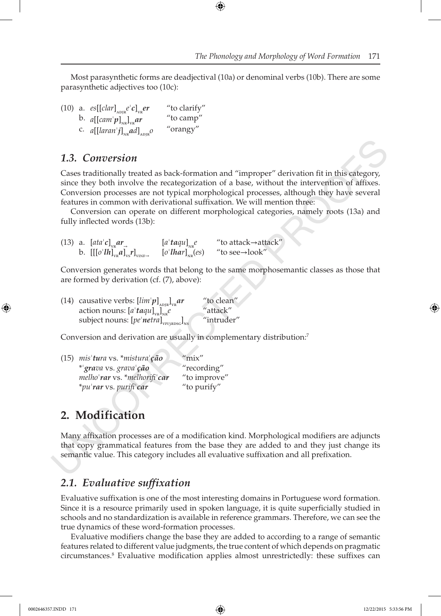Most parasynthetic forms are deadjectival (10a) or denominal verbs (10b). There are some parasynthetic adjectives too (10c):

⊕

(10) a.  $es[[clar]_{_{\rm ADJR}}e^{\prime}c]$ "to clarify"<br>"to camp" b.  $a[[cam'p]_{\text{vR}}]_{\text{vR}}$ ar "to camp" c.  $a[[\text{laran'}j]_{\text{nr}}ad]$ "orangy"

#### *1.3. Conversion*

Cases traditionally treated as back‐formation and "improper" derivation fit in this category, since they both involve the recategorization of a base, without the intervention of affixes. Conversion processes are not typical morphological processes, although they have several features in common with derivational suffixation. We will mention three: **1.3. Conversion**<br>
Cases traditionally treated as back-formation and "improper" derivation fit in this category,<br>
since they both involve the recategorization of a base, without the intervention of affixes.<br>
Conversion pr

Conversion can operate on different morphological categories, namely roots (13a) and fully inflected words (13b):

|  | (13) a. $[ata^{\dagger}c]_{vR}ar_{\rightarrow}$ | $[a^{\dagger}taqu]_{\text{NP}}e$         | "to attack $\rightarrow$ attack" |
|--|-------------------------------------------------|------------------------------------------|----------------------------------|
|  | b. $[[[o'llh]_{vR}a]_{vS}r]_{vINF\rightarrow}$  | $[o'$ <i>lhar</i> ] <sub>NR</sub> $(es)$ | "to see $\rightarrow$ look"      |

Conversion generates words that belong to the same morphosemantic classes as those that are formed by derivation (cf. (7), above):

| (14) causative verbs: $[lim'p]_{ADIR}]_{VR}$ ar            | "to clean" |
|------------------------------------------------------------|------------|
| action nouns: $[a' \iota a q u]_{vR}$ <sub>vg</sub> $e$    | "attack"   |
| subject nouns: $[pe'netra]_{\text{vryspsos}} _{\text{ns}}$ | "intruder" |

Conversion and derivation are usually in complementary distribution:<sup>7</sup>

| $(15)$ mis'tura vs. *mistura $\tilde{\epsilon}$ ão | $\mu$ <sup>"</sup> mix" |
|----------------------------------------------------|-------------------------|
| * grava vs. grava ção                              | "recording"             |
| melho'rar vs. *melhorifi'car                       | "to improve"            |
| *pu'rar vs. purifi'car                             | "to purify"             |

## **2. Modification**

Many affixation processes are of a modification kind. Morphological modifiers are adjuncts that copy grammatical features from the base they are added to and they just change its semantic value. This category includes all evaluative suffixation and all prefixation.

#### *2.1. Evaluative suffixation*

Evaluative suffixation is one of the most interesting domains in Portuguese word formation. Since it is a resource primarily used in spoken language, it is quite superficially studied in schools and no standardization is available in reference grammars. Therefore, we can see the true dynamics of these word‐formation processes.

Evaluative modifiers change the base they are added to according to a range of semantic features related to different value judgments, the true content of which depends on pragmatic circumstances.8 Evaluative modification applies almost unrestrictedly: these suffixes can

◈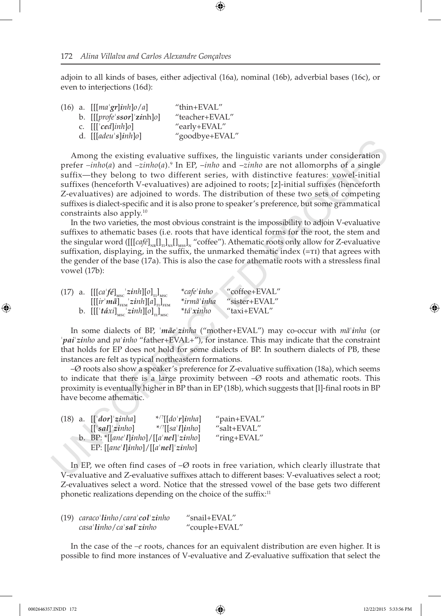adjoin to all kinds of bases, either adjectival (16a), nominal (16b), adverbial bases (16c), or even to interjections (16d):

⊕

|  | (16) a. $[[[ma'gr]inh]o/a]$                  | "thin+EVAL"    |
|--|----------------------------------------------|----------------|
|  | b. $[[\text{profe}]\text{ssor}]\text{zinh}]$ | "teacher+EVAL" |
|  | c. $[[[ced]inh]o]$                           | "early+EVAL"   |
|  | d. $[[[adeu's]inh]o]$                        | "goodbye+EVAL" |

Among the existing evaluative suffixes, the linguistic variants under consideration prefer *–inho*(*a*) and *–zinho*(*a*).9 In EP, –*inho* and –*zinho* are not allomorphs of a single suffix—they belong to two different series, with distinctive features: vowel-initial suffixes (henceforth V‐evaluatives) are adjoined to roots; [z]‐initial suffixes (henceforth Z‐evaluatives) are adjoined to words. The distribution of these two sets of competing suffixes is dialect-specific and it is also prone to speaker's preference, but some grammatical constraints also apply.10 Among the existing evoluative suffixed in the district corridor of a single similarity suffixed in the suffixed of a single suffixed for the by belong to two different sterics, with district terical suffixes (therefore th

In the two varieties, the most obvious constraint is the impossibility to adjoin V-evaluative suffixes to athematic bases (i.e. roots that have identical forms for the root, the stem and the singular word ( $[[[cafe]_{\rm NR}]]_{\rm n1}$ <sub>ns</sub>[]<sub>nss</sub>]<sub>n</sub> "coffee"). Athematic roots only allow for Z-evaluative suffixation, displaying, in the suffix, the unmarked thematic index  $(=T<sub>I</sub>)$  that agrees with the gender of the base (17a). This is also the case for athematic roots with a stressless final vowel (17b):

|  | (17) a. $[[[ca'f\acute{e}]_{_{\rm{MSC}}}^{\circ}]zinh][o]_{_{\rm{TI}}}]_{_{\rm{MSC}}}$                     | <i>*cafe</i> inho | "coffee+EVAL" |
|--|------------------------------------------------------------------------------------------------------------|-------------------|---------------|
|  | $\left[\left[\left[ir'm\tilde{a}\right]_{\text{FEM}}/zinh\right][a\right]_{\text{th}}\right]_{\text{FEM}}$ | *irmã inha        | "sister+EVAL" |
|  | b. $[[[t\hat{a}xi]_{\text{usc}}]zinh][o]_{\text{m}}$ <sub>nsc</sub>                                        | <i>*tá xinho</i>  | "taxi+EVAL"   |

In some dialects of BP, ˈ*mãe*ˈ*zinha* ("mother+EVAL") may co‐occur with *mã*ˈ*inha* (or ˈ*pai*ˈ*zinho* and *pa*ˈ*inho* "father+EVAL+"), for instance. This may indicate that the constraint that holds for EP does not hold for some dialects of BP. In southern dialects of PB, these instances are felt as typical northeastern formations.

 $-\varnothing$  roots also show a speaker's preference for Z-evaluative suffixation (18a), which seems to indicate that there is a large proximity between  $-\varnothing$  roots and athematic roots. This proximity is eventually higher in BP than in EP (18b), which suggests that [l]‐final roots in BP have become athematic.

|  | $(18)$ a. $[['dor]zinha]$                                                                   | */? $\left[\left[do'r\right]$ <i>inha</i> ]                                                                                                                                                                                                                                                                                     | "pain+EVAL"   |
|--|---------------------------------------------------------------------------------------------|---------------------------------------------------------------------------------------------------------------------------------------------------------------------------------------------------------------------------------------------------------------------------------------------------------------------------------|---------------|
|  | $\left[\right[$ 'sal $\left[$ 'zinho $\right]$                                              | */? $\left[\frac{1}{2}$ $\left[\frac{1}{2}$ $\frac{1}{2}$ $\left[\frac{1}{2}$ $\frac{1}{2}$ $\frac{1}{2}$ $\frac{1}{2}$ $\frac{1}{2}$ $\frac{1}{2}$ $\frac{1}{2}$ $\frac{1}{2}$ $\frac{1}{2}$ $\frac{1}{2}$ $\frac{1}{2}$ $\frac{1}{2}$ $\frac{1}{2}$ $\frac{1}{2}$ $\frac{1}{2}$ $\frac{1}{2}$ $\frac{1}{2}$ $\frac{1}{2}$ $\$ | "salt+EVAL"   |
|  | b. BP: $\sqrt{\frac{m}{2}}$ [[ane'l]inho] / [[a'nel]' zinho]                                |                                                                                                                                                                                                                                                                                                                                 | $"ring+EVAL"$ |
|  | $EP: [\text{lane'}\text{l} \text{lin} \text{ho}]/[\text{a'}\text{nel} \text{min} \text{ol}$ |                                                                                                                                                                                                                                                                                                                                 |               |

In EP, we often find cases of  $-\varnothing$  roots in free variation, which clearly illustrate that V‐evaluative and Z‐evaluative suffixes attach to different bases: V‐evaluatives select a root; Z‐evaluatives select a word. Notice that the stressed vowel of the base gets two different phonetic realizations depending on the choice of the suffix:<sup>11</sup>

| $(19)$ caraco'linho/cara'col'zinho | "snail+EVAL"  |  |
|------------------------------------|---------------|--|
| casa'linho/ca'sal'zinho            | "couple+EVAL" |  |

In the case of the  $-e$  roots, chances for an equivalent distribution are even higher. It is possible to find more instances of V‐evaluative and Z‐evaluative suffixation that select the

⊕

 $\langle \spadesuit \rangle$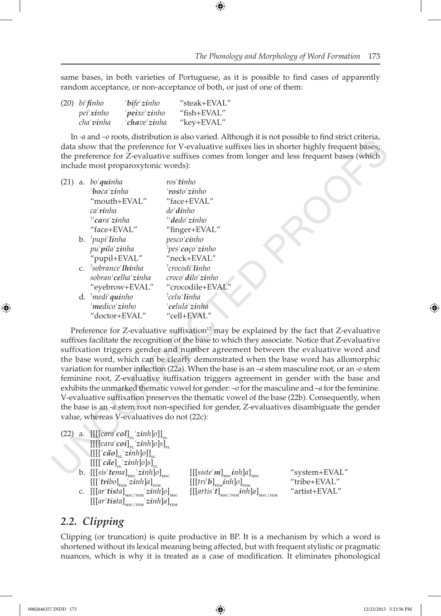same bases, in both varieties of Portuguese, as it is possible to find cases of apparently random acceptance, or non-acceptance of both, or just of one of them:

⊕

| $(20)$ bi'finho | bife zinho     | "steak+EVAL"  |  |  |
|-----------------|----------------|---------------|--|--|
| pei'xinho       | peixe'zinho    | $"fish+EVAL"$ |  |  |
| cha vinha       | ' chave' zinha | "key+EVAL"    |  |  |

In *‐a* and *–o* roots, distribution is also varied. Although it is not possible to find strict criteria, data show that the preference for V-evaluative suffixes lies in shorter highly frequent bases; the preference for Z‐evaluative suffixes comes from longer and less frequent bases (which include most proparoxytonic words):

| (21) | a. bo'quinha                            | ros' <b>ti</b> nho               |
|------|-----------------------------------------|----------------------------------|
|      | 'boca'zinha                             | <i>rosto</i> zinho               |
|      | $"$ mouth+EVAL"                         | "face+EVAL"                      |
|      | ca' <b>ri</b> nha                       | de <b>di</b> nho                 |
|      | <sup>?</sup> 'cara'zinha                | <sup>?</sup> 'dedo'zinho         |
|      | "face+EVAL"                             | "finger+EVAL"                    |
|      | b. <i>?pupi'linha</i>                   | pesco'cinho                      |
|      | pu'pila'zinha                           | pes'coco'zinho                   |
|      | "pupil+EVAL"                            | "neck+EVAL"                      |
|      | c. <sup>2</sup> sobrance <b>lhi</b> nha | <sup>2</sup> crocodi linho       |
|      | sobran' celha' zinha                    | croco'dilo'zinho                 |
|      | "eyebrow+EVAL"                          | "crocodile+EVAL"                 |
|      | d. 'medi'quinho                         | <sup>?</sup> celu' <b>li</b> nha |
|      | ' <b>me</b> dico'z <b>i</b> nho         | 'celula'zinha                    |
|      | "doctor+EVAL"                           | "cell+EVAL"                      |
|      |                                         |                                  |

Preference for Z-evaluative suffixation<sup>12</sup> may be explained by the fact that Z-evaluative suffixes facilitate the recognition of the base to which they associate. Notice that Z-evaluative suffixation triggers gender and number agreement between the evaluative word and the base word, which can be clearly demonstrated when the base word has allomorphic variation for number inflection (22a). When the base is an –*a* stem masculine root, or an ‐*o* stem feminine root, Z‐evaluative suffixation triggers agreement in gender with the base and exhibits the unmarked thematic vowel for gender: –*o* for the masculine and –*a* for the feminine. V‐evaluative suffixation preserves the thematic vowel of the base (22b). Consequently, when the base is an ‐*a* stem root non‐specified for gender, Z‐evaluatives disambiguate the gender value, whereas V-evaluatives do not (22c): in a saw of votos, sustainable and subverbence. The votos and possible in the preference for V-evaluative suffixes lies in shorter highly frequent bases, the preference for Y-evaluative suffixes then shorter highly freque

 $(22)$  a.  $[[[[cara'col]_{sc}]zinh]o]]_{sc}$  $\left[\left[\left[\left[\left(\textit{cara'coi}\right]_{_{\rm PL}}\right|\textit{zinh}\right]\textit{o}\right]_{_{\rm PL}}\right]$  $\left[\left[\left[\left[[\text{'c}\tilde{a}o\right]_{\text{sc}}\text{'zinh}]o\right]\right]_{\text{sc}}\right]$  $\left[\left[\left[\left[[\texttt{'c}\tilde{a}e\right]_{_{\rm PL}}\!\!\!\!zinh]o\right]\!s\right]_{_{\rm PL}}\right]$ b. [[[*sis*ˈ*tema*] mscˈ*zinh*]*o*] [[[ˈ*tribo*] femˈ*zinh*]*a*] c. [[[*ar*ˈ*tista*] msc/femˈ*zinh*]*o*]  $\left[\left[\left[\ar{t} \mathbf{i} \mathbf{s} t a\right]_{\text{msc/rem}}\right]z \mathbf{i} n h\right]a\right]_{\text{rem}}$ 

msc [[[*siste*ˈ*m*] msc*inh*]*a*] fem [[[*tri*ˈ*b*] fem*inh*]*o*]  $\sum_{\text{MSC}}$  [[[artis<sup>+</sup>**t**]<sub>MSC/FEM</sub>*inh***]a**]

"system+EVAL" "tribe+EVAL" "artist+EVAL"

#### *2.2. Clipping*

Clipping (or truncation) is quite productive in BP. It is a mechanism by which a word is shortened without its lexical meaning being affected, but with frequent stylistic or pragmatic nuances, which is why it is treated as a case of modification. It eliminates phonological

◈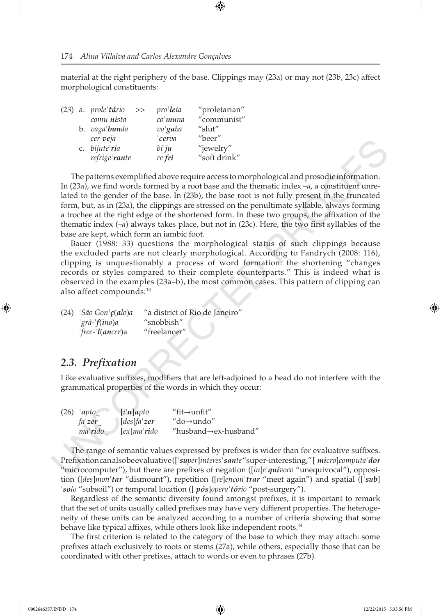material at the right periphery of the base. Clippings may (23a) or may not (23b, 23c) affect morphological constituents:

⊕

|  | (23) a. <i>prole tário</i><br>>> | pro'leta                    | "proletarian" |
|--|----------------------------------|-----------------------------|---------------|
|  | comu'nista                       | co <sup>1</sup> <i>muna</i> | "communist"   |
|  | b. vaga'bunda                    | va'gaba                     | "slut"        |
|  | $cer$ $veja$                     | cerva                       | "beer"        |
|  | c. bijute'ria                    | $bi$ ju                     | "jewelry"     |
|  | refrige'rante                    | re fri                      | "soft drink"  |

The patterns exemplified above require access to morphological and prosodic information. In (23a), we find words formed by a root base and the thematic index *–a*, a constituent unrelated to the gender of the base. In (23b), the base root is not fully present in the truncated form, but, as in (23a), the clippings are stressed on the penultimate syllable, always forming a trochee at the right edge of the shortened form. In these two groups, the affixation of the thematic index (*–a*) always takes place, but not in (23c). Here, the two first syllables of the base are kept, which form an iambic foot. *Co* to equid the read to their with the space of the constrained and production in the particular information.<br>
The particular information of the base in (23a), we find worsts formed by a root base and the thematic index

Bauer (1988: 33) questions the morphological status of such clippings because the excluded parts are not clearly morphological. According to Fandrych (2008: 116), clipping is unquestionably a process of word formation: the shortening "changes records or styles compared to their complete counterparts." This is indeed what is observed in the examples (23a–b), the most common cases. This pattern of clipping can also affect compounds:13

| $(24)$ 'São Gon' $\mathfrak{c}(alo)a$ | "a district of Rio de Janeiro" |
|---------------------------------------|--------------------------------|
| 'grã-'f( <b>i</b> no)a                | "snobbish"                     |
| ' <i>free-'l</i> ( <i>ancer</i> )a    | "freelancer"                   |

#### *2.3. Prefixation*

⊕

Like evaluative suffixes, modifiers that are left‐adjoined to a head do not interfere with the grammatical properties of the words in which they occur:

| (26) | apto    | $[i]$ <i>n</i> ]apto      | "fit $\rightarrow$ unfit"          |
|------|---------|---------------------------|------------------------------------|
|      | fa'zer  | $\int$ des $\int$ fa' zer | "do $\rightarrow$ undo"            |
|      | ma rido | $[ex]$ ma'rido            | "husband $\rightarrow$ ex-husband" |

The range of semantic values expressed by prefixes is wider than for evaluative suffixes. Prefixation can also be evaluative ([ˈ*super*]*interes*ˈ*sante* "super‐interesting," [ˈ*micro*]*computa*ˈ*dor* "microcomputer"), but there are prefixes of negation ([*in*]*e*ˈ*quívoco* "unequivocal"), opposition ([*des*]*mon*ˈ*tar* "dismount"), repetition ([*re*]*encon*ˈ*trar* "meet again") and spatial ([ˈ*sub*] ˈ*solo* "subsoil") or temporal location ([ˈ*pós*]*opera*ˈ*tório* "post‐surgery").

Regardless of the semantic diversity found amongst prefixes, it is important to remark that the set of units usually called prefixes may have very different properties. The heterogeneity of these units can be analyzed according to a number of criteria showing that some behave like typical affixes, while others look like independent roots.<sup>14</sup>

The first criterion is related to the category of the base to which they may attach: some prefixes attach exclusively to roots or stems (27a), while others, especially those that can be coordinated with other prefixes, attach to words or even to phrases (27b).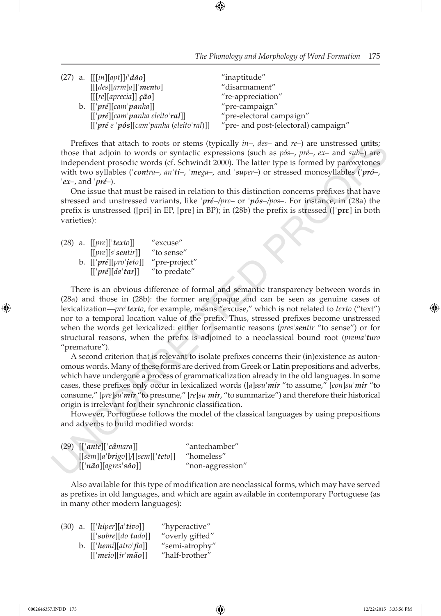|  | (27) a. $[[[in][apt]]i'd\tilde{a}o]$                                                    | "inaptitude"                         |
|--|-----------------------------------------------------------------------------------------|--------------------------------------|
|  | $[[[des][arm]a]]'$ mento]                                                               | "disarmament"                        |
|  | $[[[re][aprecia]]'$ ção]                                                                | "re-appreciation"                    |
|  | b. $[[pr\acute{e}][cam'panha]]$                                                         | "pre-campaign"                       |
|  | $[[\n  pré][cam' panha eleito'ral]]$                                                    | "pre-electoral campaign"             |
|  | $[[\mathit{pre}'\ e\ \mathit{p}\acute{o}s][cam'\mathit{panha}\ (eleito'\mathit{ral})]]$ | "pre- and post-(electoral) campaign" |

€

Prefixes that attach to roots or stems (typically *in–, des*– and *re*–) are unstressed units; those that adjoin to words or syntactic expressions (such as *pós–*, *pré–*, *ex–* and *sub–*) are independent prosodic words (cf. Schwindt 2000). The latter type is formed by paroxytones with two syllables (ˈ*contra–*, *an*ˈ*ti–*, ˈ*mega–*, and ˈ*super–*) or stressed monosyllables (ˈ*pró*–, ˈ*ex*–, and ˈ*pré*–).

One issue that must be raised in relation to this distinction concerns prefixes that have stressed and unstressed variants, like ˈ*pré–/pre*– or ˈ*pós–/pos*–. For instance, in (28a) the prefix is unstressed ([prɨ] in EP, [pre] in BP); in (28b) the prefix is stressed ([ˈ**prɛ**] in both varieties):

| (28) a. | [[pre]['text0]]                                     | "excuse"      |
|---------|-----------------------------------------------------|---------------|
|         | [[pre][s'sentity]]                                  | "to sense"    |
|         | b. $[[\textit{pr\'e}][\textit{pro'}\textit{jeto}]]$ | "pre-project" |
|         | $[[pr\acute{e}][da'tar]]$                           | "to predate"  |

There is an obvious difference of formal and semantic transparency between words in (28a) and those in (28b): the former are opaque and can be seen as genuine cases of lexicalization—*pre*ˈ*texto*, for example, means "excuse," which is not related to *texto* ("text") nor to a temporal location value of the prefix. Thus, stressed prefixes become unstressed when the words get lexicalized: either for semantic reasons (*pres*ˈ*sentir* "to sense") or for structural reasons, when the prefix is adjoined to a neoclassical bound root (*prema*ˈ*turo* "premature"). Profess that attach to roots or sterms (typically *ir*-, dec<sub>arnal</sub> *n*-,  $\log$ -, and  $\pi$ -) are unstressed units;<br>those that adjoin to words or syntactic expressions (such as phis-, pmi-, are unstressed units<br>independent

A second criterion that is relevant to isolate prefixes concerns their (in)existence as autonomous words. Many of these forms are derived from Greek or Latin prepositions and adverbs, which have undergone a process of grammaticalization already in the old languages. In some cases, these prefixes only occur in lexicalized words ([*a*]*ssu*ˈ*mir* "to assume," [*con*]*su*ˈ*mir* "to consume," [*pre*]*su*ˈ*mir* "to presume," [*re*]*su*ˈ*mir*, "to summarize") and therefore their historical origin is irrelevant for their synchronic classification.

However, Portuguese follows the model of the classical languages by using prepositions and adverbs to build modified words:

| $(29)$ [['ante]['câmara]]            | "antechamber"    |
|--------------------------------------|------------------|
| [[sem][a'brig0]]/[sem]['teto]]       | "homeless"       |
| $[[n\tilde{a}o][agres's\tilde{a}o]]$ | "non-aggression" |

Also available for this type of modification are neoclassical forms, which may have served as prefixes in old languages, and which are again available in contemporary Portuguese (as in many other modern languages):

|  | $(30)$ a. $[['hiper][a'tivo]]$    | "hyperactive"   |
|--|-----------------------------------|-----------------|
|  | $[[\text{'}sobre][\text{'}tado]]$ | "overly gifted" |
|  | b. $[['hemi][atro'fia]]$          | "semi-atrophy"  |
|  | [["meio][ir"mão]]                 | "half-brother"  |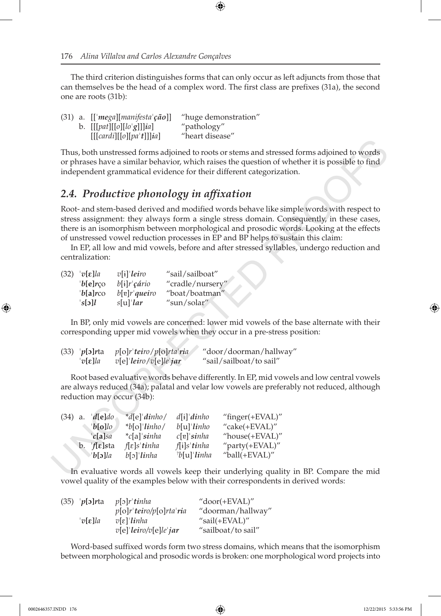The third criterion distinguishes forms that can only occur as left adjuncts from those that can themselves be the head of a complex word. The first class are prefixes (31a), the second one are roots (31b):

€

|  | (31) a. $[[mega][manifesta'\tilde{\mathfrak{g}}\tilde{\mathfrak{g}}\tilde{\mathfrak{o}}]]$ | "huge demonstration" |
|--|--------------------------------------------------------------------------------------------|----------------------|
|  | b. $[[pat][[o][lo'g]]]ia]$                                                                 | "pathology"          |
|  | [[[cardi] [[o] [pa't]]]ia]                                                                 | "heart disease"      |

Thus, both unstressed forms adjoined to roots or stems and stressed forms adjoined to words or phrases have a similar behavior, which raises the question of whether it is possible to find independent grammatical evidence for their different categorization.

## *2.4. Productive phonology in affixation*

Root- and stem-based derived and modified words behave like simple words with respect to stress assignment: they always form a single stress domain. Consequently, in these cases, there is an isomorphism between morphological and prosodic words. Looking at the effects of unstressed vowel reduction processes in EP and BP helps to sustain this claim: Thus, both unstreased forms adjoined to roots or stems and stressed forms adjoined to words<br>or phrasss have a similar behavior, which raises the question of whether it is possible to find<br>independent grammatical evidence

In EP, all low and mid vowels, before and after stressed syllables, undergo reduction and centralization:

| (32) $\mathcal{V}[\varepsilon]$ la | $v[i]'$ <i>leiro</i>     | "sail/sailboat"  |  |
|------------------------------------|--------------------------|------------------|--|
| $b[e]$ rço                         | $b[i]r'$ cário           | "cradle/nursery" |  |
| blarco                             | $b[\mathbf{r}]$ r'queiro | "boat/boatman"   |  |
| $\sqrt{s}$ [5]                     | $s[u]'$ <i>lar</i>       | " $sun/solar"$   |  |

In BP, only mid vowels are concerned: lower mid vowels of the base alternate with their corresponding upper mid vowels when they occur in a pre‐stress position:

| $(33)$ 'p[ <b>p</b> ] <i>r</i> ta | $p[\mathbf{o}]r$ 'teiro/p $[\mathbf{o}]r$ ta'ria | "door/doorman/hallway"  |
|-----------------------------------|--------------------------------------------------|-------------------------|
| $\mathcal{V}[\varepsilon][a]$     | $v[e]$ 'leiro/ $v[e]$ le'jar                     | "sail/sailboat/to sail" |

Root based evaluative words behave differently. In EP, mid vowels and low central vowels are always reduced (34a); palatal and velar low vowels are preferably not reduced, although reduction may occur (34b):

| (34) a. | $d$ [e] $do$                | $*d[e]'$ dinho/                                     | $d[i]'$ dinho        | "finger $(+$ EVAL $)$ " |
|---------|-----------------------------|-----------------------------------------------------|----------------------|-------------------------|
|         | <b>b</b> ollo               | $*b[\circ]'$ <i>linho</i> /                         | $b[u]'$ <i>linho</i> | "cake $(+$ EVAL $)$ "   |
|         | $c[a]$ sa                   | $^*c$ [a] sinha                                     | $c[v]$ 'sinha        | "house $(+EVAL)$ "      |
|         | b. $\int$ [ $\epsilon$ ]sta | $\int \mathcal{E}[s' \text{t} \text{in} \text{ha}]$ | $f[i]s'$ tinha       | " $party(+EVAL)$ "      |
|         | $bl$ b $ bla $              | b[5] linha                                          | $b[u]$ 'linha        | "ball $(+EVAL)$ "       |

In evaluative words all vowels keep their underlying quality in BP. Compare the mid vowel quality of the examples below with their correspondents in derived words:

| $(35)$ 'p[ <b>p</b> ] <i>r</i> ta | $p[\circ]r'$ tinha                           | " $door(+EVAL)$ "  |
|-----------------------------------|----------------------------------------------|--------------------|
|                                   | $p[\text{o}]r$ 'teiro/p $[\text{o}]rta$ 'ria | "doorman/hallway"  |
| $\mathcal{V}[\varepsilon]$ la     | $v[\varepsilon]'$ <i>linha</i>               | "sail $(+EVAL)$ "  |
|                                   | $v[e]'$ leiro/ $v[e]$ le'jar                 | "sailboat/to sail" |

Word-based suffixed words form two stress domains, which means that the isomorphism between morphological and prosodic words is broken: one morphological word projects into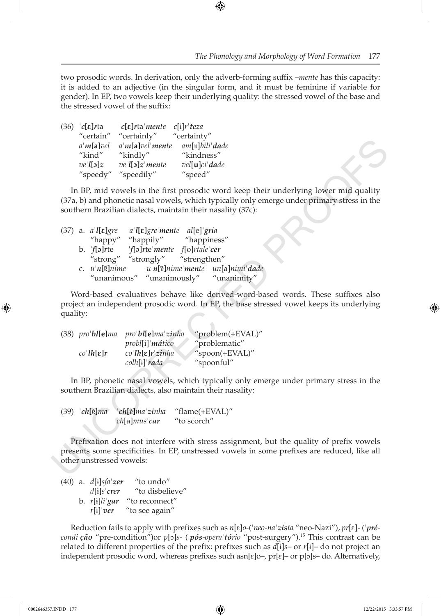two prosodic words. In derivation, only the adverb‐forming suffix –*mente* has this capacity: it is added to an adjective (in the singular form, and it must be feminine if variable for gender). In EP, two vowels keep their underlying quality: the stressed vowel of the base and the stressed vowel of the suffix:

⊕

| (36) $c[\epsilon]r$ ta | $c[\epsilon]$ rta <i>mente</i> | $c[i]r$ teza           |
|------------------------|--------------------------------|------------------------|
| "certain"              | "certainly"                    | "certainty"            |
| a'm[a]vel              | a'm[a]vel'mente                | am[e]bili'dade         |
| " $kind"$              | "kindly"                       | "kindness"             |
| $ve'$ l $ $ $ z $      | $ve'$ l $[s]z'$ mente          | vel[ <b>u</b> ]ci'dade |
| "speedy"               | "speedily"                     | "speed"                |

| channo<br>containing<br>$a'm[a]vel'$ mente $am[e]bili' dade$<br>a' <b>m[a]</b> vel<br>"kindness"<br>"kind" "kindly"<br>vel[u]ci'dade<br>"speedy" "speedily"<br>"speed"                                                                                                                                        |  |
|---------------------------------------------------------------------------------------------------------------------------------------------------------------------------------------------------------------------------------------------------------------------------------------------------------------|--|
| In BP, mid vowels in the first prosodic word keep their underlying lower mid quality<br>(37a, b) and phonetic nasal vowels, which typically only emerge under primary stress in the<br>southern Brazilian dialects, maintain their nasality (37c):                                                            |  |
| (37) a. $a'I[\varepsilon]$ gre $a'I[\varepsilon]$ gre'mente al[e]'gria<br>"happy" "happily" "happiness"<br>b. flairte flairte mente flojrtale cer<br>"strong" "strongly" "strengthen"<br>c. $u1n[\tilde{v}]$ nime $u1n[\tilde{v}]$ nime $v1$ mente $un[a]nimi1 dade$<br>"unanimous" "unanimously" "unanimity" |  |
| Word-based evaluatives behave like derived-word-based words. These suffixes also<br>project an independent prosodic word. In EP, the base stressed vowel keeps its underlying<br>quality:                                                                                                                     |  |
| pro' <b>bl[e]</b> ma'z <b>i</b> nho<br>"problem(+EVAL)"<br>$(38)$ pro'bl[e]ma<br>"problematic"<br>$probl[i]$ <i>mático</i><br>$co\dagger$ <i>lh</i> [ $\varepsilon$ ] <i>r</i><br>$"spon(+EVAL)''$<br>$co$ $lh[\varepsilon]r$ zinha<br>"spoonful"<br>$\text{coll}[i]'$ rada                                   |  |
| In BP, phonetic nasal vowels, which typically only emerge under primary stress in the<br>southern Brazilian dialects, also maintain their nasality:                                                                                                                                                           |  |
| $(39)$ 'ch[ $\tilde{e}$ ]ma 'ch[ $\tilde{e}$ ]ma'zinha<br>"flame $(+$ EVAL)"<br>"to scorch"<br>ch[a]mus' car                                                                                                                                                                                                  |  |
| Prefixation does not interfere with stress assignment, but the quality of prefix vowels<br>presents some specificities. In EP, unstressed vowels in some prefixes are reduced, like all<br>other unstressed vowels:                                                                                           |  |

| $(38)$ pro'bl[e]ma             | pro'bl[e]ma'zinho             | "problem(+EVAL)" |
|--------------------------------|-------------------------------|------------------|
|                                | $probl[i]$ <i>mático</i>      | "problematic"    |
| $co^{\dagger}lh[\varepsilon]r$ | $co$ $lh[\varepsilon]r$ zinha | "spoon(+EVAL)"   |
|                                | $\text{coll}[i]$ rada         | "spoonful"       |

(40) a. *d*[ɨ]*sfa*ˈ*zer* "to undo" *d*[ɨ]*s*ˈ*crer* "to disbelieve" b. *r*[ɨ]*li*ˈ*gar* "to reconnect" *r*[ɨ]ˈ*ver* "to see again"

Reduction fails to apply with prefixes such as *n*[ɛ]*o‐*(ˈ*neo‐na*ˈ*zista* "neo‐Nazi"), *pr*[ɛ]‐ (ˈ*pré‐ condi*ˈ*ção* "pre‐condition")or *p*[ɔ]*s‐* (ˈ*pós‐opera*ˈ*tório* "post‐surgery").15 This contrast can be related to different properties of the prefix: prefixes such as *d*[ɨ]*s*– or *r*[ɨ]– do not project an independent prosodic word, whereas prefixes such asn[ $\epsilon$ ] $o-$ , pr[ $\epsilon$ ] $-$  or p[ $\delta$ ]s– do. Alternatively,

⊕

◈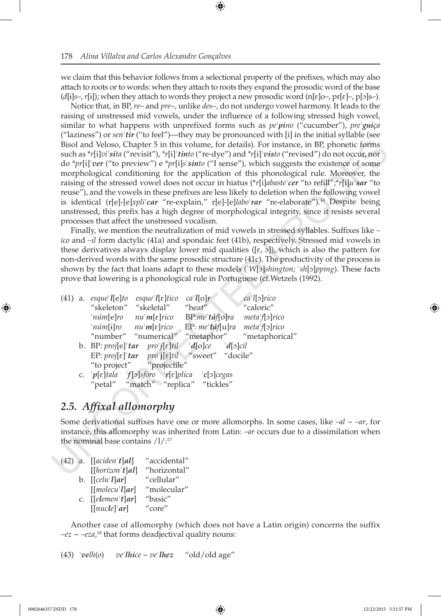we claim that this behavior follows from a selectional property of the prefixes, which may also attach to roots or to words: when they attach to roots they expand the prosodic word of the base (*d*[ɨ]*s*–, *r*[ɨ]); when they attach to words they project a new prosodic word (n[ɛ]o–, pr[ɛ]–, p[ɔ]s–).

⊕

Notice that, in BP, *re*– and *pre*–, unlike *des*–, do not undergo vowel harmony. It leads to the raising of unstressed mid vowels, under the influence of a following stressed high vowel, similar to what happens with unprefixed forms such as *pe*ˈ*pino* ("cucumber"), *pre*ˈ*guiça* ("laziness") or *sen*ˈ*tir* ("to feel")—they may be pronounced with [i] in the initial syllable (see Bisol and Veloso, Chapter 5 in this volume, for details). For instance, in BP, phonetic forms such as \**r*[i]*vi*ˈ*sita* ("revisit"), *\*r*[i]ˈ*tinto* ("re‐dye") and *\*r*[i]ˈ*visto* ("revised") do not occur, nor do \**pr*[i]ˈ*ver* ("to preview") e \**pr*[i]*s*ˈ*sinto* ("I sense"), which suggests the existence of some morphological conditioning for the application of this phonological rule. Moreover, the raising of the stressed vowel does not occur in hiatus (\**r*[i]*abaste*ˈ*cer* "to refill";\**r*[i]*u*ˈ*sar* "to reuse"), and the vowels in these prefixes are less likely to deletion when the following vowel is identical (r[e]‐[e]*xpli*ˈ*car* "re‐explain," r[e]‐[e]*labo*ˈ*rar* "re‐elaborate").16 Despite being unstressed, this prefix has a high degree of morphological integrity, since it resists several processes that affect the unstressed vocalism. Bisol and Veloro, Chapter 5 in this volume, for details). For instance, in BP, phonetic forms such as "right" state ("revisit"), "right"<br>and "prigristic ("revisite"), "right" in the optical conditioning for the applicatio

Finally, we mention the neutralization of mid vowels in stressed syllables. Suffixes like *– ico* and *–il* form dactylic (41a) and spondaic feet (41b), respectively. Stressed mid vowels in these derivatives always display lower mid qualities ([ $\epsilon$ ,  $\sigma$ ]), which is also the pattern for non‐derived words with the same prosodic structure (41c). The productivity of the process is shown by the fact that loans adapt to these models (ˈ*W*[ɔ]*shington;* ˈ*sh*[ɔ]*pping*). These facts prove that lowering is a phonological rule in Portuguese (cf.Wetzels (1992).

| (41) | a. $esque'l[e]to$ | $esque'$ l[ɛ]tico                            | ca <sup>T</sup> [o]r                                      | ca'l[o]rico    |
|------|-------------------|----------------------------------------------|-----------------------------------------------------------|----------------|
|      |                   |                                              |                                                           |                |
|      |                   | "skeleton" "skeletal"                        | "heat"                                                    | "caloric"      |
|      | núm[e]ro          | $nu'm[\varepsilon]$ rico                     | BP:me'táf[o]ra                                            | meta f[o]rico  |
|      |                   | $^{\prime}$ núm[i]ro nu $^{\prime}$ m[ɛ]rico | EP: me'táf[u]ra meta'f[o]rico                             |                |
|      |                   | "number" "numerical"                         | "metaphor"                                                | "metaphorical" |
|      |                   | b. BP: $proj[e]' \text{tar}$ $proj[e]$ til   | $d[\circ]$ ce<br>$d[\circ]$ cil                           |                |
|      |                   |                                              | EP: proj[ε]'tar pro'j[ε]til "sweet" "docile"              |                |
|      |                   | "to project" "projectile"                    |                                                           |                |
|      |                   |                                              | c. $p[\varepsilon]$ tala 'f[ə]sforo 'r[ɛ]plica 'c[ə]cegas |                |
|      |                   |                                              | "petal" "match" "replica" "tickles"                       |                |

## *2.5. Affixal allomorphy*

Some derivational suffixes have one or more allomorphs. In some cases, like  $-al \sim -ar$ , for instance, this allomorphy was inherited from Latin: *–ar* occurs due to a dissimilation when the nominal base contains  $/1$ :<sup>17</sup>

|  | $(42)$ a. [[aciden t]al]                               | "accidental" |
|--|--------------------------------------------------------|--------------|
|  | [[horizon't]al]                                        | "horizontal" |
|  | b. $\left[ [cell1]ar \right]$                          | "cellular"   |
|  |                                                        | "molecular"  |
|  | c. $\left[ \left[ element^{\dagger} \right]$ $\right]$ | "basic"      |
|  | $[[nucle]$ <sup><math>ar]</math></sup>                 | "core"       |

Another case of allomorphy (which does not have a Latin origin) concerns the suffix *–ez ~ –eza*, 18 that forms deadjectival quality nouns:

(43)  $\text{v}$ *velh*(*o*) *ve*<sup>*lhice* ~ *ve*<sup>*lhez*</sup> "old/old age"</sup>

⊕

 $\langle \spadesuit \rangle$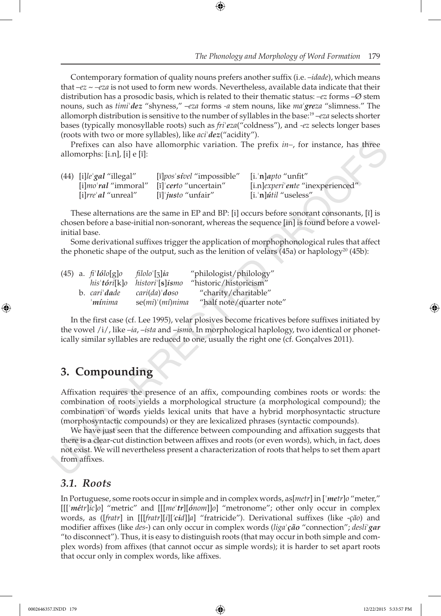Contemporary formation of quality nouns prefers another suffix (i.e. –*idade*), which means that –*ez* ~ *–eza* is not used to form new words. Nevertheless, available data indicate that their distribution has a prosodic basis, which is related to their thematic status: *–ez* forms –Ø stem nouns, such as *timi*ˈ*dez* "shyness," –*eza* forms *‐a* stem nouns, like *ma*ˈ*greza* "slimness." The allomorph distribution is sensitive to the number of syllables in the base:19 –*eza* selects shorter bases (typically monosyllable roots) such as *fri*ˈ*eza*("coldness"), and *‐ez* selects longer bases (roots with two or more syllables), like *aci*ˈ*dez*("acidity").

⊕

Prefixes can also have allomorphic variation. The prefix *in–*, for instance, has three allomorphs: [i.n], [i] e [ĩ]:

| $(44)$ [i] $le' gal$ "illegal" | $\lbrack \tilde{1} \rbrack pos's$ <i>ivel</i> "impossible" | $[i.$ 'n <i>apto</i> "unfit"      |
|--------------------------------|------------------------------------------------------------|-----------------------------------|
| [i] <i>mo'ral</i> "immoral"    | [i] <i>certo "</i> uncertain"                              | [i.n]experi'ente "inexperienced"  |
| [i] <i>rre'al</i> "unreal"     | $\lceil \tilde{\mathbf{i}} \rceil$ ' <i>justo</i> "unfair" | $[i.$ 'n   <i>útil</i> " useless" |

These alternations are the same in EP and BP: [i] occurs before sonorant consonants, [ĩ] is chosen before a base-initial non-sonorant, whereas the sequence [in] is found before a vowelinitial base.

Some derivational suffixes trigger the application of morphophonological rules that affect the phonetic shape of the output, such as the lenition of velars (45a) or haplology<sup>20</sup> (45b):

|  | $(45)$ a. $\hat{\pi}$ ' $l$ ólo[g]o | filolo <sup>†</sup> [z]ia | "philologist/philology"  |
|--|-------------------------------------|---------------------------|--------------------------|
|  | his tóri[k]o                        | histori'[ <b>s</b> ]ismo  | "historic/historicism"   |
|  | b. cari dade                        | $\alpha$ ri(da) $d$ oso   | "charity/charitable"     |
|  | ' <b>mí</b> nima                    | $se(mi)$ ' $(mi)$ nima    | "half note/quarter note" |

In the first case (cf. Lee 1995), velar plosives become fricatives before suffixes initiated by the vowel /i/, like –*ia*, –*ista* and –*ismo*. In morphological haplology, two identical or phonetically similar syllables are reduced to one, usually the right one (cf. Gonçalves 2011).

## **3. Compounding**

Affixation requires the presence of an affix, compounding combines roots or words: the combination of roots yields a morphological structure (a morphological compound); the combination of words yields lexical units that have a hybrid morphosyntactic structure (morphosyntactic compounds) or they are lexicalized phrases (syntactic compounds).

We have just seen that the difference between compounding and affixation suggests that there is a clear-cut distinction between affixes and roots (or even words), which, in fact, does not exist. We will nevertheless present a characterization of roots that helps to set them apart from affixes. Prefixes can also have allomorphic variation. The prefix  $in$ -, for instance, has three<br>
allomorphis: [i.n], [i] (e [i]:<br>
(44) [i]]/ $\mu$ g/gt "illgos" sford "impossible" [i.n],<br>  $\mu$ gl/gos" illgos" (i]) into the "impossible

#### *3.1. Roots*

In Portuguese, some roots occur in simple and in complex words, as[*metr*] in [ˈ*metr*]*o* "meter," [[[ˈ*métr*]*ic*]*o*] "metric" and [[[*me*ˈ*tr*][*ónom*]]*o*] "metronome"; other only occur in complex words, as ([*fratr*] in [[[*fratr*][*i*][ʹ*cid*]]*a*] "fratricide"). Derivational suffixes (like ‐*ção*) and modifier affixes (like *des*‐) can only occur in complex words (*liga*ˈ*ção* "connection"; *desli*ˈ*gar* "to disconnect"). Thus, it is easy to distinguish roots (that may occur in both simple and complex words) from affixes (that cannot occur as simple words); it is harder to set apart roots that occur only in complex words, like affixes.

⊕

◈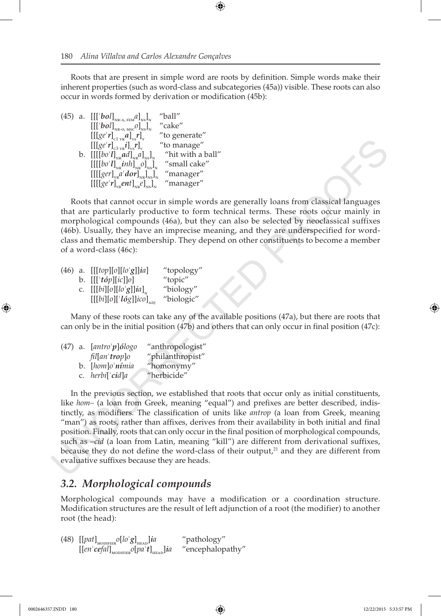Roots that are present in simple word are roots by definition. Simple words make their inherent properties (such as word‐class and subcategories (45a)) visible. These roots can also occur in words formed by derivation or modification (45b):

 $\textcolor{black}{\textcircled{\tiny \dag}}$ 

 $(45)$  a.  $[[["bol]_{\text{NR-A, FEM}}a]_{\text{NS}}]$ "ball"  $[[[[`bol]_{_{\rm NR-O,\,MSC}O}]_{_{\rm NS}}]$ "cake"  $[[[ge^{\iota}r]_{c1 \text{ vR}}a]_{vs}r]$ "to generate"  $[[[ge' r]_{c3 \text{ yr}} i]_{\text{vs}} r]$ " to manage" b.  $[[[[bo'l]_{NR} ad]_{NR} a]_{NS}]$ "hit with a ball"  $\left[\left[\left[\left[[bo^{\dagger}l]\right]_{\text{NR}}inh\right]_{\text{NR}}o\right]\right]$ "small cake"  ${\rm [[[[\textit{ger}]_{\tiny{vR}}\textit{a}^{\dagger}\textit{dor}]}_{\tiny{\mbox{NR}}}]_{\tiny{\mbox{NS}}}]$ "manager"  $\left[\left[\left[\left[\left(ge^{\circ}r\right]_{\text{vR}}ent\right]_{\text{NR}}e\right]\right]$ "manager"

Roots that cannot occur in simple words are generally loans from classical languages that are particularly productive to form technical terms. These roots occur mainly in morphological compounds (46a), but they can also be selected by neoclassical suffixes (46b). Usually, they have an imprecise meaning, and they are underspecified for word‐ class and thematic membership. They depend on other constituents to become a member of a word‐class (46c):

|    | (46) a. $[[[top][o][lo'g]]ia]$      | "topology" |
|----|-------------------------------------|------------|
|    | b. $[[ [top] [ic]]$ <i>o</i> ]      | "topic"    |
| C. | [[[bi][o][lo'g]]ia]                 | "biology"  |
|    | $[[[bi][o]['lóg]]ico]_{_{\rm ADI}}$ | "biologic" |

Many of these roots can take any of the available positions (47a), but there are roots that can only be in the initial position (47b) and others that can only occur in final position (47c):

|  | $(47)$ a. $[antro'p]$ ólogo  | "anthropologist" |
|--|------------------------------|------------------|
|  | fil[anˈ <b>tro</b> p]o       | "philanthropist" |
|  | b. [hom]o'nímia              | "homonymy"       |
|  | c. herbi <sup>['</sup> cid]a | "herbicide"      |

In the previous section, we established that roots that occur only as initial constituents, like *hom*– (a loan from Greek, meaning "equal") and prefixes are better described, indistinctly, as modifiers. The classification of units like *antrop* (a loan from Greek, meaning "man") as roots, rather than affixes, derives from their availability in both initial and final position. Finally, roots that can only occur in the final position of morphological compounds, such as -cid (a loan from Latin, meaning "kill") are different from derivational suffixes, because they do not define the word-class of their output, $21$  and they are different from evaluative suffixes because they are heads. UNCORRECTED PROOFS

#### *3.2. Morphological compounds*

Morphological compounds may have a modification or a coordination structure. Modification structures are the result of left adjunction of a root (the modifier) to another root (the head):

(48)  $[[pat]_{\text{monriter}} o[lo'g]_{\text{mean}}]ia$  "pathology" [[*en*ˈ*cefal*] modifier*o*[*pa*ˈ*t*] head]*ia* "encephalopathy"

⊕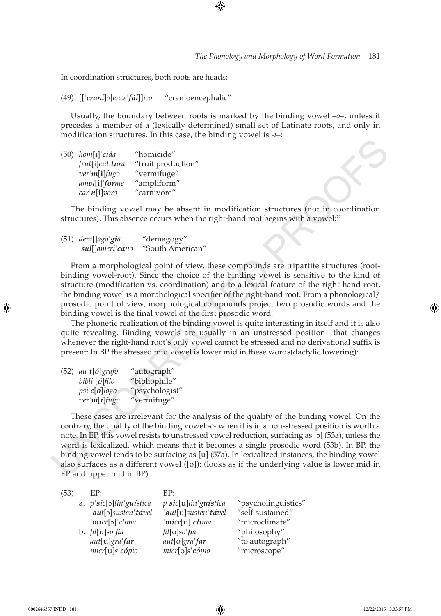In coordination structures, both roots are heads:

(49) [[ˈ*crani*]*o*[*ence*ˈ*fál*]]*ico* "cranioencephalic"

Usually, the boundary between roots is marked by the binding vowel  $-\sigma$ , unless it precedes a member of a (lexically determined) small set of Latinate roots, and only in modification structures. In this case, the binding vowel is *‐i–*:

⊕

(50) *hom*[i]ˈ*cida* "homicide" *frut*[i]*cul*ˈ*tura* "fruit production" *ver*ˈ*m*[**i**]*fugo* "vermifuge" *ampl*[i]ˈ*forme* "ampliform" *car*ˈ*n*[**i**]*voro* "carnivore"

The binding vowel may be absent in modification structures (not in coordination structures). This absence occurs when the right-hand root begins with a vowel:<sup>22</sup>

| (51) dem[]ago' <b>gi</b> a                               | "demagogy"       |  |
|----------------------------------------------------------|------------------|--|
| $\mathcal{L}$ sul $\mathcal{L}$ ameri $\mathcal{L}$ cano | "South American" |  |

From a morphological point of view, these compounds are tripartite structures (rootbinding vowel‐root). Since the choice of the binding vowel is sensitive to the kind of structure (modification vs. coordination) and to a lexical feature of the right-hand root, the binding vowel is a morphological specifier of the right-hand root. From a phonological/ prosodic point of view, morphological compounds project two prosodic words and the binding vowel is the final vowel of the first prosodic word.

The phonetic realization of the binding vowel is quite interesting in itself and it is also quite revealing. Binding vowels are usually in an unstressed position—that changes whenever the right-hand root's only vowel cannot be stressed and no derivational suffix is present: In BP the stressed mid vowel is lower mid in these words(dactylic lowering):

(52) *au*ˈ*t*[*ó*]*grafo* "autograph" *bibli*ˈ[*ó*]*filo* "bibliophile" *psi*ˈ*c*[*ó*]*logo* "psychologist" *ver*ˈ*m*[*í*]*fugo* "vermifuge"

These cases are irrelevant for the analysis of the quality of the binding vowel. On the contrary, the quality of the binding vowel *‐o‐* when it is in a non‐stressed position is worth a note. In EP, this vowel resists to unstressed vowel reduction, surfacing as [ɔ] (53a), unless the word is lexicalized, which means that it becomes a single prosodic word (53b). In BP, the binding vowel tends to be surfacing as [u] (57a). In lexicalized instances, the binding vowel also surfaces as a different vowel ([o]): (looks as if the underlying value is lower mid in EP and upper mid in BP). (50) hom[1]'eida <br>
"fruit]pcul fura "fruit production"<br>
or millipcy "vermiting<br>
or millipcom "canniver"<br>
ampli(i) forms "campitor"<br>
car in floridage with a constituent of the condination structures). This absence occurs w

| EP:                     | BP:                                                                                      |                     |
|-------------------------|------------------------------------------------------------------------------------------|---------------------|
|                         | $p$ 'sic[u]lin'guística                                                                  | "psycholinguistics" |
| aut[0]susten tável      | aut[u]susten'tável                                                                       | "self-sustained"    |
| ' <b>mi</b> cr[ɔ]'clima | 'micr[u]'clima                                                                           | "microclimate"      |
|                         | $fillo] so'$ fia                                                                         | "philosophy"        |
| aut[u]gra'far           | aut[0]gra'far                                                                            | "to autograph"      |
| micr[u]s'cópio          | micr[o]s'cópio                                                                           | "microscope"        |
|                         | a. <i>p</i> 'sic[o]lin'guistica<br>b. $\frac{fil}[\mathrm{u}]$ so' $\hat{\mathrm{f}}$ ia |                     |

⊕

 $\langle \spadesuit \rangle$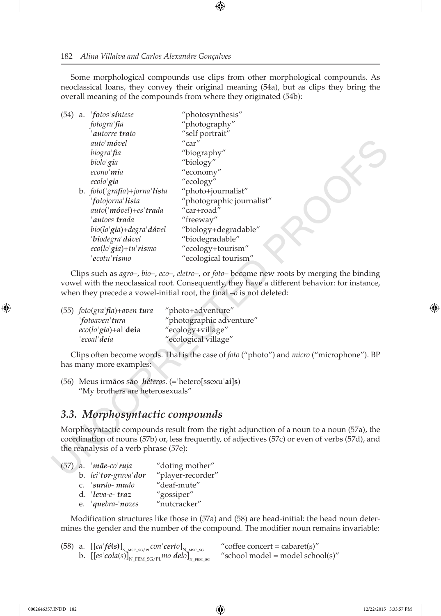Some morphological compounds use clips from other morphological compounds. As neoclassical loans, they convey their original meaning (54a), but as clips they bring the overall meaning of the compounds from where they originated (54b):

 $\bigoplus$ 

|  | $(54)$ a. 'fotos' síntese                                                            | "photosynthesis"                                                                                                                                                                              |
|--|--------------------------------------------------------------------------------------|-----------------------------------------------------------------------------------------------------------------------------------------------------------------------------------------------|
|  | fotogra'fia                                                                          | "photography"                                                                                                                                                                                 |
|  | autorre trato                                                                        | "self portrait"                                                                                                                                                                               |
|  | auto'móvel                                                                           | ''car''                                                                                                                                                                                       |
|  | biogra' <b>fi</b> a                                                                  | "biography"                                                                                                                                                                                   |
|  | biolo'gia                                                                            | "biology"                                                                                                                                                                                     |
|  | econo mia                                                                            | "economy"                                                                                                                                                                                     |
|  | ecolo gia                                                                            | "ecology"                                                                                                                                                                                     |
|  | b. foto('grafia)+jorna'lista                                                         | "photo+journalist"                                                                                                                                                                            |
|  | 'fotojorna'lista                                                                     | "photographic journalist"                                                                                                                                                                     |
|  | auto('móvel)+es' trada                                                               | "car+road"                                                                                                                                                                                    |
|  | autoes trada                                                                         | "freeway"                                                                                                                                                                                     |
|  | bio(lo'gia)+degra'dável                                                              | "biology+degradable"                                                                                                                                                                          |
|  | 'biodegra' dável                                                                     | "biodegradable"                                                                                                                                                                               |
|  | eco(lo'gia)+tu'rismo                                                                 | "ecology+tourism"                                                                                                                                                                             |
|  | 'ecotu'rismo                                                                         | "ecological tourism"                                                                                                                                                                          |
|  | (55) foto(gra'fia)+aven'tura<br>'fotoaven'tura<br>eco(lo'gia)+al'deia<br>'ecoal'deia | when they precede a vowel-initial root, the final $-o$ is not deleted:<br>"photo+adventure"<br>"photographic adventure"<br>"ecology+village"<br>"ecological village"                          |
|  | has many more examples:                                                              | Clips often become words. That is the case of <i>foto</i> ("photo") and <i>micro</i> ("microphone"). BP                                                                                       |
|  | "My brothers are heterosexuals"                                                      | (56) Meus irmãos são 'héteros. (= 'hetero[ssexu'ai]s)                                                                                                                                         |
|  | 3.3. Morphosyntactic compounds                                                       |                                                                                                                                                                                               |
|  | the reanalysis of a verb phrase (57e):                                               | Morphosyntactic compounds result from the right adjunction of a noun to a noun (57a), the<br>coordination of nouns (57b) or, less frequently, of adjectives (57c) or even of verbs (57d), and |
|  | (57) a. 'mãe-co'ruja<br>h lei'tor-orana'dor                                          | "doting mother"<br>"player-recorder"                                                                                                                                                          |

| $(55)$ foto $(gra$ 'fia)+aven'tura | "photo+adventure"        |
|------------------------------------|--------------------------|
| 'fotoaven' tura                    | "photographic adventure" |
| $eco(lo'gia) + al'deia$            | "ecology+village"        |
| 'ecoal' <b>dei</b> a               | "ecological village"     |

#### *3.3. Morphosyntactic compounds*

(57) a. ˈ*mãe‐co*ˈ*ruja* "doting mother" b. *lei*ˈ*tor‐grava*ˈ*dor* "player‐recorder" c. ˈ*surdo‐*ˈ*mudo* "deaf‐mute" d. ˈ*leva‐e‐*ˈ*traz* "gossiper" e. '*quebra*-'*nozes* 

Modification structures like those in (57a) and (58) are head-initial: the head noun determines the gender and the number of the compound. The modifier noun remains invariable:

|  | (58) a. $[[ca'\tilde{f}\acute{e}(s)]_{\text{N-MSC-SG/PL}}$ con'certo] $_{\text{N-MSC-SG}}$ | "coffee concert = cabaret(s)"    |
|--|--------------------------------------------------------------------------------------------|----------------------------------|
|  | b. $[[es'cola(s)]_{N\times_{N}SGPL}mo'delo]_{N\times_{N}SGPL}$                             | "school model = model school(s)" |

◈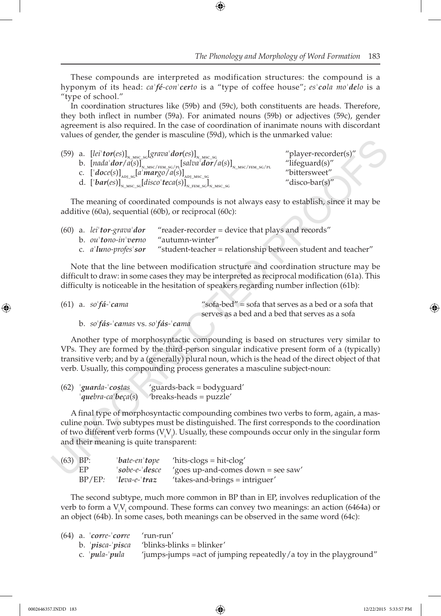These compounds are interpreted as modification structures: the compound is a hyponym of its head: *ca*ˈ*fé‐con*ˈ*certo* is a "type of coffee house"; *es*ˈ*cola mo*ˈ*delo* is a "type of school."

⊕

In coordination structures like (59b) and (59c), both constituents are heads. Therefore, they both inflect in number (59a). For animated nouns (59b) or adjectives (59c), gender agreement is also required. In the case of coordination of inanimate nouns with discordant values of gender, the gender is masculine (59d), which is the unmarked value:

| (59) a. $[lei'\text{tor}(es)]_{N\text{ _MSC\_SG}}[grava'\text{ dor}(es)]_{N\text{ _MSC\_SG}}$<br>b. $[nada'\text{ dor}/a(s)]_{N\text{ _MSC/FEM\_SG}/p_{\text{L}}}[salva'\text{dor}/a(s)]_{N\text{ _MSC/FEM\_SG}/p_{\text{L}}}$<br>c. $['doce(s)]_{\text{AD\_SG}}[a'\text{marg}o/a(s)]_{\text{AD\_MSC\_SG}}$<br>d. $['bar(es)]_{N\text{ _MSC\_SG}}[disco'\text{te}ca(s)]_{N\text{ _FEM\_SG}}_{N\text{ _MSC\_SG}}$<br>"player-recorder(s)"<br>"lifeguard $(s)$ "<br>"bittersweet"<br>"disco-bar(s)" |
|---------------------------------------------------------------------------------------------------------------------------------------------------------------------------------------------------------------------------------------------------------------------------------------------------------------------------------------------------------------------------------------------------------------------------------------------------------------------------------------------------|
| The meaning of coordinated compounds is not always easy to establish, since it may be<br>additive (60a), sequential (60b), or reciprocal (60c):                                                                                                                                                                                                                                                                                                                                                   |
| "reader-recorder = device that plays and records"<br>$(60)$ a. lei'tor-grava'dor<br>b. ou'tono-in'verno<br>"autumn-winter"<br>"student-teacher = relationship between student and teacher"<br>c. a'luno-profes'sor                                                                                                                                                                                                                                                                                |
| Note that the line between modification structure and coordination structure may be<br>difficult to draw: in some cases they may be interpreted as reciprocal modification (61a). This<br>difficulty is noticeable in the hesitation of speakers regarding number inflection (61b):                                                                                                                                                                                                               |
| "sofa-bed" = sofa that serves as a bed or a sofa that<br>$(61)$ a. so'fá-'cama<br>serves as a bed and a bed that serves as a sofa<br>b. so'fás-'camas vs. so'fás-'cama                                                                                                                                                                                                                                                                                                                            |
| Another type of morphosyntactic compounding is based on structures very similar to<br>VPs. They are formed by the third-person singular indicative present form of a (typically)<br>transitive verb; and by a (generally) plural noun, which is the head of the direct object of that<br>verb. Usually, this compounding process generates a masculine subject-noun:                                                                                                                              |
| guards-back = bodyguard'<br>$(62)$ guarda-costas<br><i>quebra-ca beça(s)</i> /breaks-heads = $puzzle'$                                                                                                                                                                                                                                                                                                                                                                                            |
| A final type of morphosyntactic compounding combines two verbs to form, again, a mas-<br>culine noun. Two subtypes must be distinguished. The first corresponds to the coordination<br>of two different verb forms $(V_i V_j)$ . Usually, these compounds occur only in the singular form<br>and their meaning is quite transparent:                                                                                                                                                              |
| $(63)$ BP:<br>'hits-clogs = $hit-clog'$<br>'bate-en'tope<br>'goes up-and-comes down = see saw'<br>'sobe-e-'desce<br>EP                                                                                                                                                                                                                                                                                                                                                                            |

|  | $(60)$ a. lei'tor-grava'dor | "reader-recorder = device that plays and records"            |
|--|-----------------------------|--------------------------------------------------------------|
|  |                             | b. <i>ou tono-in verno</i> "autumn-winter"                   |
|  | c. a'luno-profes'sor        | "student-teacher = relationship between student and teacher" |

⊕

| $(63)$ BP:  | ' <b>ba</b> te-en' <b>to</b> pe | 'hits-clogs = $hit$ -clog'                        |
|-------------|---------------------------------|---------------------------------------------------|
| $\angle$ EP |                                 | 'sobe-e-'desce 'goes up-and-comes down = see saw' |
| BP/EP:      | leva-e-'traz                    | 'takes-and-brings = intriguer'                    |

The second subtype, much more common in BP than in EP, involves reduplication of the verb to form a  $V_iV_i$  compound. These forms can convey two meanings: an action (6464a) or an object (64b). In some cases, both meanings can be observed in the same word (64c):

|  | (64) a. ' <i>corre-'corre '</i> run-run' |                                                                   |
|--|------------------------------------------|-------------------------------------------------------------------|
|  |                                          | b. $'pisca$ - $'pisca$ $'blinks$ - $blinks$ = $blinker'$          |
|  | c. <i>'pula-'pula</i>                    | 'jumps-jumps = act of jumping repeatedly/a toy in the playground" |

 $\langle \spadesuit \rangle$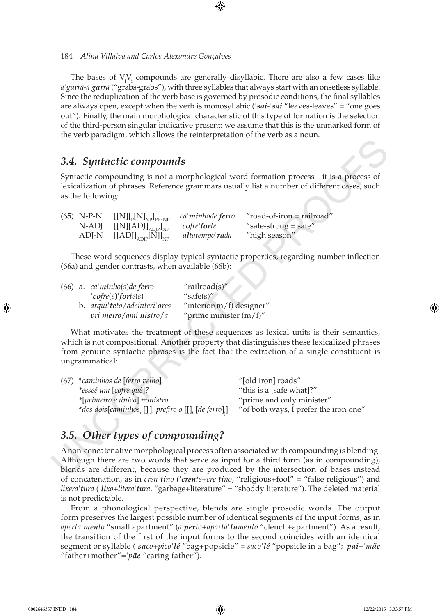The bases of  $V_iV_i$  compounds are generally disyllabic. There are also a few cases like *a*ˈ*garra‐a*ˈ*garra* ("grabs‐grabs"), with three syllables that always start with an onsetless syllable. Since the reduplication of the verb base is governed by prosodic conditions, the final syllables are always open, except when the verb is monosyllabic (ˈ*sai‐*ˈ*sai* "leaves‐leaves" = "one goes out"). Finally, the main morphological characteristic of this type of formation is the selection of the third‐person singular indicative present: we assume that this is the unmarked form of the verb paradigm, which allows the reinterpretation of the verb as a noun.

⊕

#### *3.4. Syntactic compounds*

| (65) N-P-N | $\left[\text{[N]}\right]_{\text{p}}\left[\text{N}\right]_{\text{NP}}\right]_{\text{NP}}$ ca'minhode' ferro |                 | "road-of-iron = railroad" |
|------------|------------------------------------------------------------------------------------------------------------|-----------------|---------------------------|
|            | N-ADJ $[[N][ADJ]_{ADIP}]_{NP}$                                                                             | ' cofre' forte  | "safe-strong = safe"      |
|            | ADJ-N $[[ADJ]_{ADIP}[\text{N}]]_{NP}$                                                                      | 'altatempo'rada | "high season"             |

|  | (66) a. ca'minho(s)de'ferro  | "railroad(s)"               |
|--|------------------------------|-----------------------------|
|  | $cofre(s)$ 'forte $(s)$      | "safe(s)"                   |
|  | b. arqui'teto/adeinteri'ores | "interior $(m/f)$ designer" |
|  | pri'meiro/ami'nistro/a       | "prime minister $(m/f)$ "   |

|                                                                                                                                                                                                      | 3.4. Syntactic compounds                                                                                                                                                                                                                                                     |                                                                                        |                                                                                                                                                                                                                                                                                |  |
|------------------------------------------------------------------------------------------------------------------------------------------------------------------------------------------------------|------------------------------------------------------------------------------------------------------------------------------------------------------------------------------------------------------------------------------------------------------------------------------|----------------------------------------------------------------------------------------|--------------------------------------------------------------------------------------------------------------------------------------------------------------------------------------------------------------------------------------------------------------------------------|--|
| as the following:                                                                                                                                                                                    |                                                                                                                                                                                                                                                                              |                                                                                        | Syntactic compounding is not a morphological word formation process—it is a process of<br>lexicalization of phrases. Reference grammars usually list a number of different cases, such                                                                                         |  |
| $(65)$ N-P-N<br>N-ADJ<br>$ADJ-N$                                                                                                                                                                     | $\left[\left[\text{N}\right]\right]_{\text{p}}\left[\text{N}\right]_{\text{NP}}\right]_{\text{PP}}$<br>$\begin{array}{l} [[\textbf{N}][\textbf{A}\textbf{D}]]_{\textbf{ADIP}}]_{\text{NP}} \\ [[\textbf{A}\textbf{D}]]_{\textbf{ADIP}}[\textbf{N}]]_{\text{NP}} \end{array}$ | ca'minhode'ferro<br>cofre forte<br>'altatempo'rada                                     | "road-of-iron = railroad"<br>"safe-strong = safe"<br>"high season"                                                                                                                                                                                                             |  |
| These word sequences display typical syntactic properties, regarding number inflection<br>(66a) and gender contrasts, when available (66b):                                                          |                                                                                                                                                                                                                                                                              |                                                                                        |                                                                                                                                                                                                                                                                                |  |
| $(66)$ a. ca'minho $(s)$ de'ferro                                                                                                                                                                    | 'cofre(s)'forte(s)<br>b. arqui'teto/adeinteri'ores<br>pri'meiro/ami'nistro/a                                                                                                                                                                                                 | "railroad(s)"<br>"safe(s)"<br>"interior $(m/f)$ designer"<br>"prime minister $(m/f)$ " |                                                                                                                                                                                                                                                                                |  |
| ungrammatical:                                                                                                                                                                                       |                                                                                                                                                                                                                                                                              |                                                                                        | What motivates the treatment of these sequences as lexical units is their semantics,<br>which is not compositional. Another property that distinguishes these lexicalized phrases<br>from genuine syntactic phrases is the fact that the extraction of a single constituent is |  |
| (67) *caminhos de [ferro velho]<br>*esseé um [cofre quê]?<br>*[primeiro e único] ministro<br>*dos dois[caminhos <sub>i</sub> [] <sub>i</sub> ], prefiro o [[] <sub>i</sub> [de ferro] <sub>i</sub> ] |                                                                                                                                                                                                                                                                              |                                                                                        | "[old iron] roads"<br>"this is a [safe what]?"<br>"prime and only minister"<br>"of both ways, I prefer the iron one"                                                                                                                                                           |  |
|                                                                                                                                                                                                      | 3.5. Other types of compounding?                                                                                                                                                                                                                                             |                                                                                        |                                                                                                                                                                                                                                                                                |  |
|                                                                                                                                                                                                      |                                                                                                                                                                                                                                                                              |                                                                                        | A non-concatenative morphological process often associated with compounding is blending.<br>Although there are two words that serve as input for a third form (as in compounding),<br>blends are different, because they are produced by the intersection of bases instead     |  |

## *3.5. Other types of compounding?*

A non‐concatenative morphological process often associated with compounding is blending. Although there are two words that serve as input for a third form (as in compounding), blends are different, because they are produced by the intersection of bases instead of concatenation, as in *cren*ˈ*tino* (ˈ*crente+cre*ˈ*tino*, "religious+fool" = "false religious") and *lixera*ˈ*tura* (ˈ*lixo+litera*ˈ*tura*, "garbage+literature" = "shoddy literature"). The deleted material is not predictable.

From a phonological perspective, blends are single prosodic words. The output form preserves the largest possible number of identical segments of the input forms, as in *aperta*ˈ*mento* "small apartment" (*a*ˈ*perto+aparta*ˈ*tamento* "clench+apartment"). As a result, the transition of the first of the input forms to the second coincides with an identical segment or syllable (ˈ*saco+pico*ˈ*lé* "bag+popsicle" = *saco*ˈ*lé* "popsicle in a bag"; ˈ*pai*+ˈ*mãe* "father+mother"=ˈ*pãe* "caring father").

⊕

◈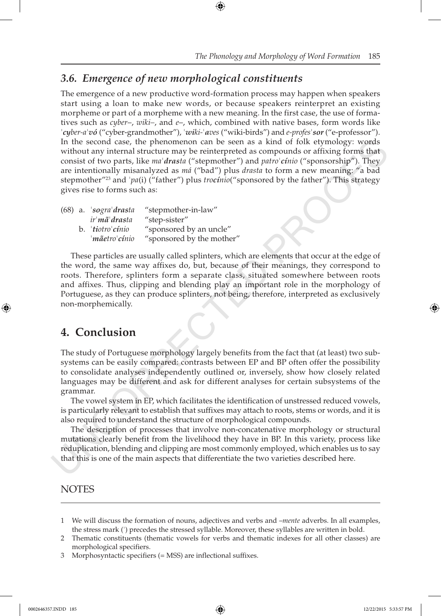## *3.6. Emergence of new morphological constituents*

The emergence of a new productive word-formation process may happen when speakers start using a loan to make new words, or because speakers reinterpret an existing morpheme or part of a morpheme with a new meaning. In the first case, the use of formatives such as *cyber*–, *wiki–*, and *e*–, which, combined with native bases, form words like ˈ*cyber‐a*ˈ*vó* ("cyber‐grandmother"), ˈ*wiki‐*ˈ*aves* ("wiki‐birds") and *e‐profes*ˈ*sor* ("e‐professor"). In the second case, the phenomenon can be seen as a kind of folk etymology: words without any internal structure may be reinterpreted as compounds or affixing forms that consist of two parts, like *ma*ˈ*drasta* ("stepmother") and *patro*ˈ*cínio* ("sponsorship"). They are intentionally misanalyzed as *má* ("bad") plus *drasta* to form a new meaning: "a bad stepmother"23 and ˈ*pa*(i) ("father") plus *trocínio*("sponsored by the father"). This strategy gives rise to forms such as: In the second case, the phenomenon can be easily of folk etymology words<br>in this case. In this compounds or affixing forms that consist of two parts, like mail and<br>still consist the consist of the parts ("stemather")") an

⊕

|  | (68) a. 'sogra'drasta | "stepmother-in-law" |                           |
|--|-----------------------|---------------------|---------------------------|
|  |                       | ir mã drasta        | "step-sister"             |
|  |                       | b. tiotro cínio     | "sponsored by an uncle"   |
|  |                       | 'mãetro'cínio       | "sponsored by the mother" |

These particles are usually called splinters, which are elements that occur at the edge of the word, the same way affixes do, but, because of their meanings, they correspond to roots. Therefore, splinters form a separate class, situated somewhere between roots and affixes. Thus, clipping and blending play an important role in the morphology of Portuguese, as they can produce splinters, not being, therefore, interpreted as exclusively non‐morphemically.

## **4. Conclusion**

⊕

The study of Portuguese morphology largely benefits from the fact that (at least) two subsystems can be easily compared: contrasts between EP and BP often offer the possibility to consolidate analyses independently outlined or, inversely, show how closely related languages may be different and ask for different analyses for certain subsystems of the grammar.

The vowel system in EP, which facilitates the identification of unstressed reduced vowels, is particularly relevant to establish that suffixes may attach to roots, stems or words, and it is also required to understand the structure of morphological compounds.

The description of processes that involve non-concatenative morphology or structural mutations clearly benefit from the livelihood they have in BP. In this variety, process like reduplication, blending and clipping are most commonly employed, which enables us to say that this is one of the main aspects that differentiate the two varieties described here.

#### **NOTES**

- 1 We will discuss the formation of nouns, adjectives and verbs and –*mente* adverbs. In all examples, the stress mark (ˈ) precedes the stressed syllable. Moreover, these syllables are written in bold.
- 2 Thematic constituents (thematic vowels for verbs and thematic indexes for all other classes) are morphological specifiers.
- 3 Morphosyntactic specifiers (= MSS) are inflectional suffixes.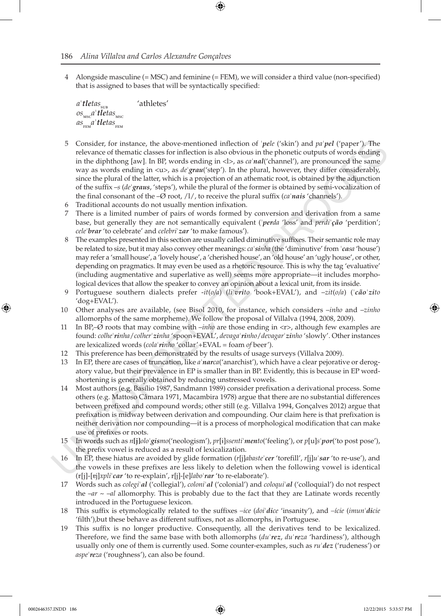4 Alongside masculine (= MSC) and feminine (= FEM), we will consider a third value (non-specified) that is assigned to bases that will be syntactically specified:

⊕

*a*'*tletas*<sub>sub</sub> 'athletes'  $\cos_{\text{wsc}} a^{\dagger}$ **tle**tas<sub>msc</sub>  $as_{\text{new}}a^{\dagger}$ *tletas*<sub>reM</sub>

- 5 Consider, for instance, the above‐mentioned inflection of ˈ*pele* ('skin') and *pa*ˈ*pel* ('paper'). The relevance of thematic classes for inflection is also obvious in the phonetic outputs of words ending in the diphthong [aw]. In BP, words ending in <l>, as  $ca<sup>i</sup>nal('channel')$ , are pronounced the same way as words ending in  $\langle u \rangle$ , as *de*'*grau*('step'). In the plural, however, they differ considerably, since the plural of the latter, which is a projection of an athematic root, is obtained by the adjunction of the suffix –*s* (*de*ˈ*graus*, 'steps'), while the plural of the former is obtained by semi‐vocalization of the final consonant of the –Ø root, /l/, to receive the plural suffix (*ca*ˈ*nais* 'channels'). 5 Consider, for instance, the above-mentioned infellection of  $p\text{e}t\left(\frac{\lambda}{2}\text{km}\right)$  and  $p\text{e}p\text{e}t\left(\frac{\lambda}{2}\text{km}\right)$ . The proceding inference of the applicit (associate to the application of the phase in the diphonet
	- 6 Traditional accounts do not usually mention infixation.
	- 7 There is a limited number of pairs of words formed by conversion and derivation from a same base, but generally they are not semantically equivalent (ˈ*perda* 'loss' and *perdi*ˈ*ção* 'perdition'; *cele*ˈ*brar* 'to celebrate' and *celebri*ˈ*zar* 'to make famous').
	- 8 The examples presented in this section are usually called diminutive suffixes. Their semantic role may be related to size, but it may also convey other meanings: *ca*ˈ*sinha* (the 'diminutive' from ˈ*casa* 'house') may refer a 'small house', a 'lovely house', a 'cherished house', an 'old house' an 'ugly house', or other, depending on pragmatics. It may even be used as a rhetoric resource. This is why the tag 'evaluative' (including augmentative and superlative as well) seems more appropriate—it includes morphological devices that allow the speaker to convey an opinion about a lexical unit, from its inside.
	- 9 Portuguese southern dialects prefer ‐*it*(*o/a*) (*li*ˈ*vrito* 'book+EVAL'), and –*zit*(*o/a*) (ˈ*cão*ˈ*zito* 'dog+EVAL').
	- 10 Other analyses are available, (see Bisol 2010, for instance, which considers –*inho* and –*zinho* allomorphs of the same morpheme). We follow the proposal of Villalva (1994, 2008, 2009).
	- 11 In BP,–Ø roots that may combine with –*inho* are those ending in <r>, although few examples are found: *colhe*ˈ*rinha*/*colher*ˈ*zinha* 'spoon+EVAL', *devaga*ˈ*rinho*/*devagar*ˈ*zinho* 'slowly'. Other instances are lexicalized words (*cola*ˈ*rinho* 'collar'+EVAL = foam *of* beer').
	- 12 This preference has been demonstrated by the results of usage surveys (Villalva 2009).
	- 13 In EP, there are cases of truncation, like *a*ˈ*narca*('anarchist'), which have a clear pejorative or derogatory value, but their prevalence in EP is smaller than in BP. Evidently, this is because in EP word‐ shortening is generally obtained by reducing unstressed vowels.
	- 14 Most authors (e.g. Basílio 1987, Sandmann 1989) consider prefixation a derivational process. Some others (e.g. Mattoso Câmara 1971, Macambira 1978) argue that there are no substantial differences between prefixed and compound words; other still (e.g. Villalva 1994, Gonçalves 2012) argue that prefixation is midway between derivation and compounding. Our claim here is that prefixation is neither derivation nor compounding—it is a process of morphological modification that can make use of prefixes or roots.
	- 15 In words such as *n***[j]***olo*ˈ*gismo*('neologism'), *pr*[ɨ]*ssenti*ˈ*mento*('feeling'), or *p*[u]*s*ˈ*por*('to post pose'), the prefix vowel is reduced as a result of lexicalization.
	- 16 In EP, these hiatus are avoided by glide formation (*r*[j]*abaste*ˈ*cer* 'torefill', *r*[j]*u*ˈ*sar* 'to re‐use'), and the vowels in these prefixes are less likely to deletion when the following vowel is identical (r[j]‐[ɐj]*xpli*ˈ*car* 'to re‐explain', r[j]‐[e]*labo*ˈ*rar* 'to re‐elaborate').
	- 17 Words such as *colegi*ˈ*al* ('collegial'), *coloni*ˈ*al* ('colonial') and *coloqui*ˈ*al* ('colloquial') do not respect the  $-ar \sim -al$  allomorphy. This is probably due to the fact that they are Latinate words recently introduced in the Portuguese lexicon.
	- 18 This suffix is etymologically related to the suffixes *–ice* (*doi*ˈ*dice* 'insanity'), and *–ície* (*imun*ˈ*dicie* 'filth'),but these behave as different suffixes, not as allomorphs, in Portuguese.
	- 19 This suffix is no longer productive. Consequently, all the derivatives tend to be lexicalized. Therefore, we find the same base with both allomorphs (*du*ˈ*rez*, *du*ˈ*reza* 'hardiness'), although usually only one of them is currently used. Some counter‐examples, such as *ru*ˈ*dez* ('rudeness') or *aspe*ˈ*reza* ('roughness'), can also be found.